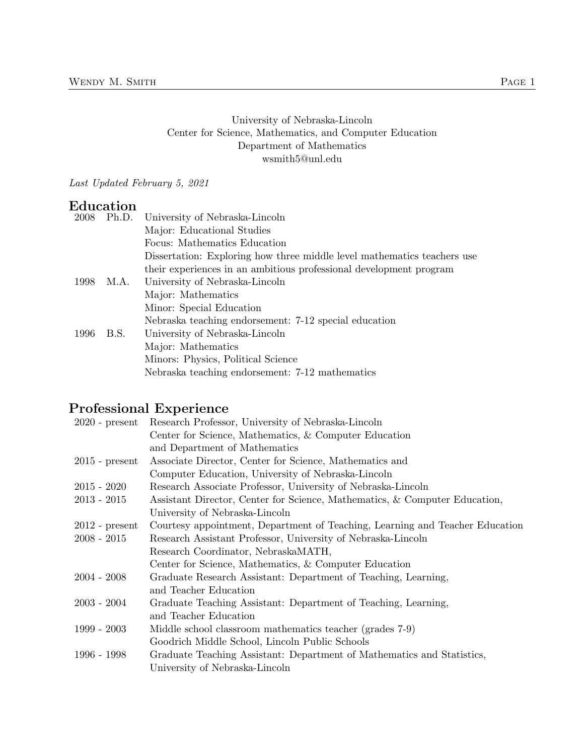### University of Nebraska-Lincoln Center for Science, Mathematics, and Computer Education Department of Mathematics wsmith5@unl.edu

Last Updated February 5, 2021

# Education

| 2008 |      | Ph.D. University of Nebraska-Lincoln                                    |
|------|------|-------------------------------------------------------------------------|
|      |      | Major: Educational Studies                                              |
|      |      | Focus: Mathematics Education                                            |
|      |      | Dissertation: Exploring how three middle level mathematics teachers use |
|      |      | their experiences in an ambitious professional development program      |
| 1998 | M.A. | University of Nebraska-Lincoln                                          |
|      |      | Major: Mathematics                                                      |
|      |      | Minor: Special Education                                                |
|      |      | Nebraska teaching endorsement: 7-12 special education                   |
| 1996 | B.S. | University of Nebraska-Lincoln                                          |
|      |      | Major: Mathematics                                                      |
|      |      | Minors: Physics, Political Science                                      |
|      |      | Nebraska teaching endorsement: 7-12 mathematics                         |
|      |      |                                                                         |

# Professional Experience

| Research Professor, University of Nebraska-Lincoln                           |
|------------------------------------------------------------------------------|
| Center for Science, Mathematics, & Computer Education                        |
| and Department of Mathematics                                                |
| Associate Director, Center for Science, Mathematics and                      |
| Computer Education, University of Nebraska-Lincoln                           |
| Research Associate Professor, University of Nebraska-Lincoln                 |
| Assistant Director, Center for Science, Mathematics, & Computer Education,   |
| University of Nebraska-Lincoln                                               |
| Courtesy appointment, Department of Teaching, Learning and Teacher Education |
| Research Assistant Professor, University of Nebraska-Lincoln                 |
| Research Coordinator, NebraskaMATH,                                          |
| Center for Science, Mathematics, & Computer Education                        |
| Graduate Research Assistant: Department of Teaching, Learning,               |
| and Teacher Education                                                        |
| Graduate Teaching Assistant: Department of Teaching, Learning,               |
| and Teacher Education                                                        |
| Middle school classroom mathematics teacher (grades 7-9)                     |
| Goodrich Middle School, Lincoln Public Schools                               |
| Graduate Teaching Assistant: Department of Mathematics and Statistics,       |
| University of Nebraska-Lincoln                                               |
|                                                                              |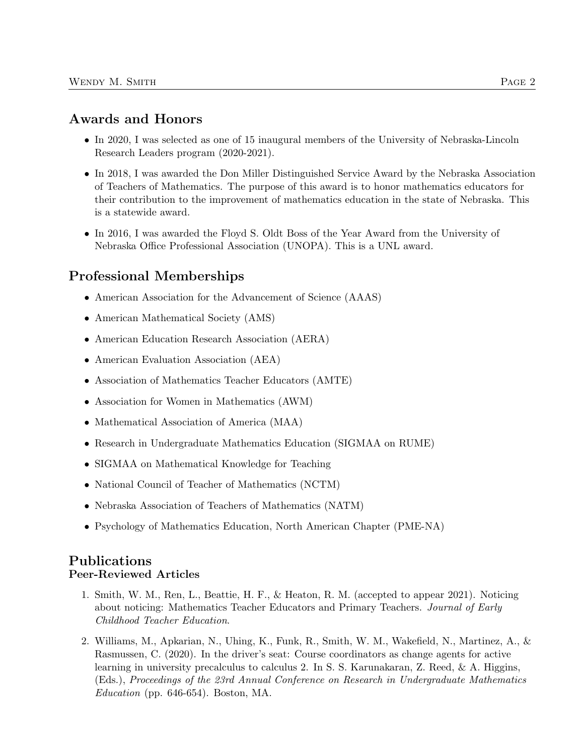# Awards and Honors

- In 2020, I was selected as one of 15 inaugural members of the University of Nebraska-Lincoln Research Leaders program (2020-2021).
- In 2018, I was awarded the Don Miller Distinguished Service Award by the Nebraska Association of Teachers of Mathematics. The purpose of this award is to honor mathematics educators for their contribution to the improvement of mathematics education in the state of Nebraska. This is a statewide award.
- In 2016, I was awarded the Floyd S. Oldt Boss of the Year Award from the University of Nebraska Office Professional Association (UNOPA). This is a UNL award.

# Professional Memberships

- American Association for the Advancement of Science (AAAS)
- American Mathematical Society (AMS)
- American Education Research Association (AERA)
- American Evaluation Association (AEA)
- Association of Mathematics Teacher Educators (AMTE)
- Association for Women in Mathematics (AWM)
- Mathematical Association of America (MAA)
- Research in Undergraduate Mathematics Education (SIGMAA on RUME)
- SIGMAA on Mathematical Knowledge for Teaching
- National Council of Teacher of Mathematics (NCTM)
- Nebraska Association of Teachers of Mathematics (NATM)
- Psychology of Mathematics Education, North American Chapter (PME-NA)

## Publications Peer-Reviewed Articles

- 1. Smith, W. M., Ren, L., Beattie, H. F., & Heaton, R. M. (accepted to appear 2021). Noticing about noticing: Mathematics Teacher Educators and Primary Teachers. Journal of Early Childhood Teacher Education.
- 2. Williams, M., Apkarian, N., Uhing, K., Funk, R., Smith, W. M., Wakefield, N., Martinez, A., & Rasmussen, C. (2020). In the driver's seat: Course coordinators as change agents for active learning in university precalculus to calculus 2. In S. S. Karunakaran, Z. Reed, & A. Higgins, (Eds.), Proceedings of the 23rd Annual Conference on Research in Undergraduate Mathematics Education (pp.  $646-654$ ). Boston, MA.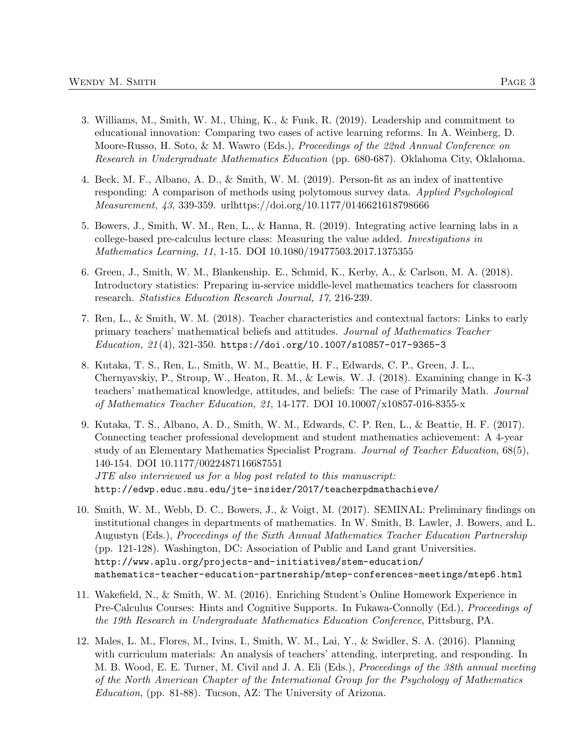- 3. Williams, M., Smith, W. M., Uhing, K., & Funk, R. (2019). Leadership and commitment to educational innovation: Comparing two cases of active learning reforms. In A. Weinberg, D. Moore-Russo, H. Soto, & M. Wawro (Eds.), Proceedings of the 22nd Annual Conference on Research in Undergraduate Mathematics Education (pp. 680-687). Oklahoma City, Oklahoma.
- 4. Beck, M. F., Albano, A. D., & Smith, W. M. (2019). Person-fit as an index of inattentive responding: A comparison of methods using polytomous survey data. Applied Psychological Measurement, 43, 339-359. urlhttps://doi.org/10.1177/0146621618798666
- 5. Bowers, J., Smith, W. M., Ren, L., & Hanna, R. (2019). Integrating active learning labs in a college-based pre-calculus lecture class: Measuring the value added. Investigations in Mathematics Learning, 11, 1-15. DOI 10.1080/19477503.2017.1375355
- 6. Green, J., Smith, W. M., Blankenship. E., Schmid, K., Kerby, A., & Carlson, M. A. (2018). Introductory statistics: Preparing in-service middle-level mathematics teachers for classroom research. Statistics Education Research Journal, 17, 216-239.
- 7. Ren, L., & Smith, W. M. (2018). Teacher characteristics and contextual factors: Links to early primary teachers' mathematical beliefs and attitudes. Journal of Mathematics Teacher Education, 21 (4), 321-350. https://doi.org/10.1007/s10857-017-9365-3
- 8. Kutaka, T. S., Ren, L., Smith, W. M., Beattie, H. F., Edwards, C. P., Green, J. L., Chernyavskiy, P., Stroup, W., Heaton, R. M., & Lewis. W. J. (2018). Examining change in K-3 teachers' mathematical knowledge, attitudes, and beliefs: The case of Primarily Math. Journal of Mathematics Teacher Education, 21, 14-177. DOI 10.10007/x10857-016-8355-x
- 9. Kutaka, T. S., Albano, A. D., Smith, W. M., Edwards, C. P. Ren, L., & Beattie, H. F. (2017). Connecting teacher professional development and student mathematics achievement: A 4-year study of an Elementary Mathematics Specialist Program. Journal of Teacher Education, 68(5), 140-154. DOI 10.1177/0022487116687551 JTE also interviewed us for a blog post related to this manuscript: http://edwp.educ.msu.edu/jte-insider/2017/teacherpdmathachieve/
- 10. Smith, W. M., Webb, D. C., Bowers, J., & Voigt, M. (2017). SEMINAL: Preliminary findings on institutional changes in departments of mathematics. In W. Smith, B. Lawler, J. Bowers, and L. Augustyn (Eds.), Proceedings of the Sixth Annual Mathematics Teacher Education Partnership (pp. 121-128). Washington, DC: Association of Public and Land grant Universities. http://www.aplu.org/projects-and-initiatives/stem-education/ mathematics-teacher-education-partnership/mtep-conferences-meetings/mtep6.html
- 11. Wakefield, N., & Smith, W. M. (2016). Enriching Student's Online Homework Experience in Pre-Calculus Courses: Hints and Cognitive Supports. In Fukawa-Connolly (Ed.), *Proceedings of* the 19th Research in Undergraduate Mathematics Education Conference, Pittsburg, PA.
- 12. Males, L. M., Flores, M., Ivins, I., Smith, W. M., Lai, Y., & Swidler, S. A. (2016). Planning with curriculum materials: An analysis of teachers' attending, interpreting, and responding. In M. B. Wood, E. E. Turner, M. Civil and J. A. Eli (Eds.), Proceedings of the 38th annual meeting of the North American Chapter of the International Group for the Psychology of Mathematics Education, (pp. 81-88). Tucson, AZ: The University of Arizona.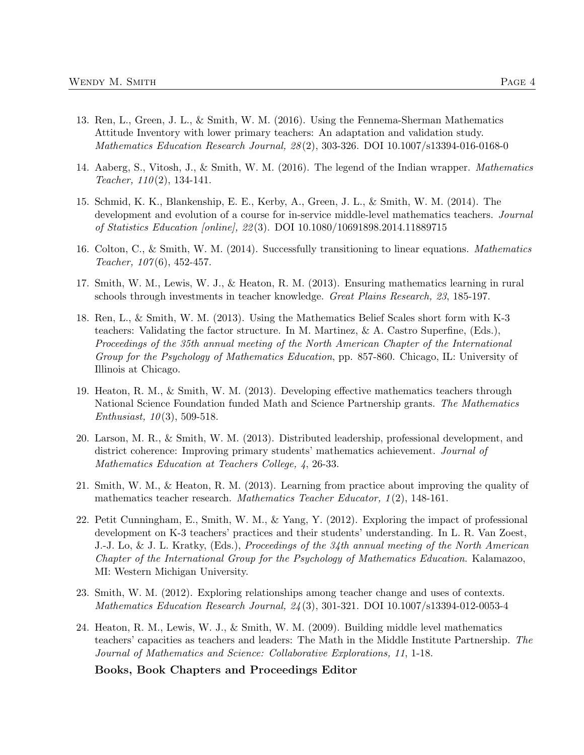- 13. Ren, L., Green, J. L., & Smith, W. M. (2016). Using the Fennema-Sherman Mathematics Attitude Inventory with lower primary teachers: An adaptation and validation study. Mathematics Education Research Journal, 28 (2), 303-326. DOI 10.1007/s13394-016-0168-0
- 14. Aaberg, S., Vitosh, J., & Smith, W. M. (2016). The legend of the Indian wrapper. Mathematics Teacher,  $110(2)$ , 134-141.
- 15. Schmid, K. K., Blankenship, E. E., Kerby, A., Green, J. L., & Smith, W. M. (2014). The development and evolution of a course for in-service middle-level mathematics teachers. Journal of Statistics Education [online], 22 (3). DOI 10.1080/10691898.2014.11889715
- 16. Colton, C., & Smith, W. M. (2014). Successfully transitioning to linear equations. Mathematics Teacher, 107(6), 452-457.
- 17. Smith, W. M., Lewis, W. J., & Heaton, R. M. (2013). Ensuring mathematics learning in rural schools through investments in teacher knowledge. Great Plains Research, 23, 185-197.
- 18. Ren, L., & Smith, W. M. (2013). Using the Mathematics Belief Scales short form with K-3 teachers: Validating the factor structure. In M. Martinez, & A. Castro Superfine, (Eds.), Proceedings of the 35th annual meeting of the North American Chapter of the International Group for the Psychology of Mathematics Education, pp. 857-860. Chicago, IL: University of Illinois at Chicago.
- 19. Heaton, R. M., & Smith, W. M. (2013). Developing effective mathematics teachers through National Science Foundation funded Math and Science Partnership grants. The Mathematics Enthusiast,  $10(3)$ , 509-518.
- 20. Larson, M. R., & Smith, W. M. (2013). Distributed leadership, professional development, and district coherence: Improving primary students' mathematics achievement. Journal of Mathematics Education at Teachers College, 4, 26-33.
- 21. Smith, W. M., & Heaton, R. M. (2013). Learning from practice about improving the quality of mathematics teacher research. Mathematics Teacher Educator, 1(2), 148-161.
- 22. Petit Cunningham, E., Smith, W. M., & Yang, Y. (2012). Exploring the impact of professional development on K-3 teachers' practices and their students' understanding. In L. R. Van Zoest, J.-J. Lo, & J. L. Kratky, (Eds.), Proceedings of the 34th annual meeting of the North American Chapter of the International Group for the Psychology of Mathematics Education. Kalamazoo, MI: Western Michigan University.
- 23. Smith, W. M. (2012). Exploring relationships among teacher change and uses of contexts. Mathematics Education Research Journal, 24 (3), 301-321. DOI 10.1007/s13394-012-0053-4
- 24. Heaton, R. M., Lewis, W. J., & Smith, W. M. (2009). Building middle level mathematics teachers' capacities as teachers and leaders: The Math in the Middle Institute Partnership. The Journal of Mathematics and Science: Collaborative Explorations, 11, 1-18.

Books, Book Chapters and Proceedings Editor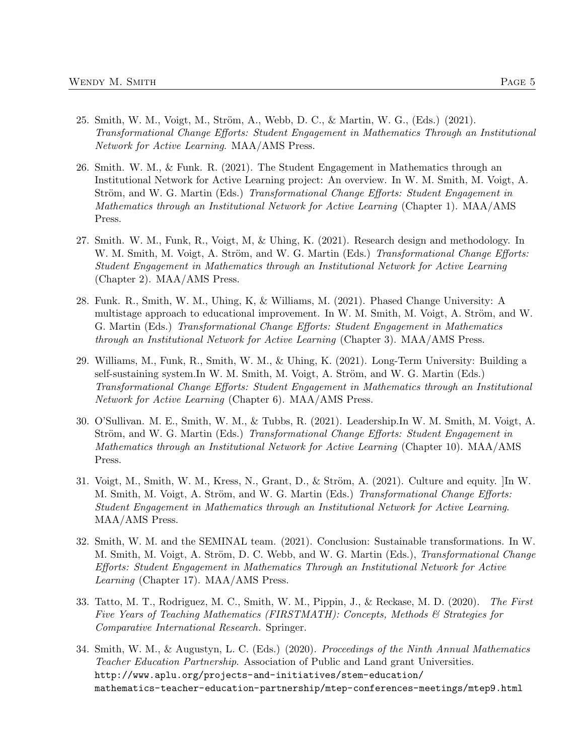- 25. Smith, W. M., Voigt, M., Ström, A., Webb, D. C., & Martin, W. G., (Eds.) (2021). Transformational Change Efforts: Student Engagement in Mathematics Through an Institutional Network for Active Learning. MAA/AMS Press.
- 26. Smith. W. M., & Funk. R. (2021). The Student Engagement in Mathematics through an Institutional Network for Active Learning project: An overview. In W. M. Smith, M. Voigt, A. Ström, and W. G. Martin (Eds.) Transformational Change Efforts: Student Engagement in Mathematics through an Institutional Network for Active Learning (Chapter 1). MAA/AMS Press.
- 27. Smith. W. M., Funk, R., Voigt, M, & Uhing, K. (2021). Research design and methodology. In W. M. Smith, M. Voigt, A. Ström, and W. G. Martin (Eds.) Transformational Change Efforts: Student Engagement in Mathematics through an Institutional Network for Active Learning (Chapter 2). MAA/AMS Press.
- 28. Funk. R., Smith, W. M., Uhing, K, & Williams, M. (2021). Phased Change University: A multistage approach to educational improvement. In W. M. Smith, M. Voigt, A. Ström, and W. G. Martin (Eds.) Transformational Change Efforts: Student Engagement in Mathematics through an Institutional Network for Active Learning (Chapter 3). MAA/AMS Press.
- 29. Williams, M., Funk, R., Smith, W. M., & Uhing, K. (2021). Long-Term University: Building a self-sustaining system.In W. M. Smith, M. Voigt, A. Ström, and W. G. Martin (Eds.) Transformational Change Efforts: Student Engagement in Mathematics through an Institutional Network for Active Learning (Chapter 6). MAA/AMS Press.
- 30. O'Sullivan. M. E., Smith, W. M., & Tubbs, R. (2021). Leadership.In W. M. Smith, M. Voigt, A. Ström, and W. G. Martin (Eds.) Transformational Change Efforts: Student Engagement in Mathematics through an Institutional Network for Active Learning (Chapter 10). MAA/AMS Press.
- 31. Voigt, M., Smith, W. M., Kress, N., Grant, D., & Ström, A.  $(2021)$ . Culture and equity.  $|\text{In W.}$ M. Smith, M. Voigt, A. Ström, and W. G. Martin (Eds.) Transformational Change Efforts: Student Engagement in Mathematics through an Institutional Network for Active Learning. MAA/AMS Press.
- 32. Smith, W. M. and the SEMINAL team. (2021). Conclusion: Sustainable transformations. In W. M. Smith, M. Voigt, A. Ström, D. C. Webb, and W. G. Martin (Eds.), Transformational Change Efforts: Student Engagement in Mathematics Through an Institutional Network for Active Learning (Chapter 17). MAA/AMS Press.
- 33. Tatto, M. T., Rodriguez, M. C., Smith, W. M., Pippin, J., & Reckase, M. D. (2020). The First Five Years of Teaching Mathematics (FIRSTMATH): Concepts, Methods & Strategies for Comparative International Research. Springer.
- 34. Smith, W. M., & Augustyn, L. C. (Eds.) (2020). Proceedings of the Ninth Annual Mathematics Teacher Education Partnership. Association of Public and Land grant Universities. http://www.aplu.org/projects-and-initiatives/stem-education/ mathematics-teacher-education-partnership/mtep-conferences-meetings/mtep9.html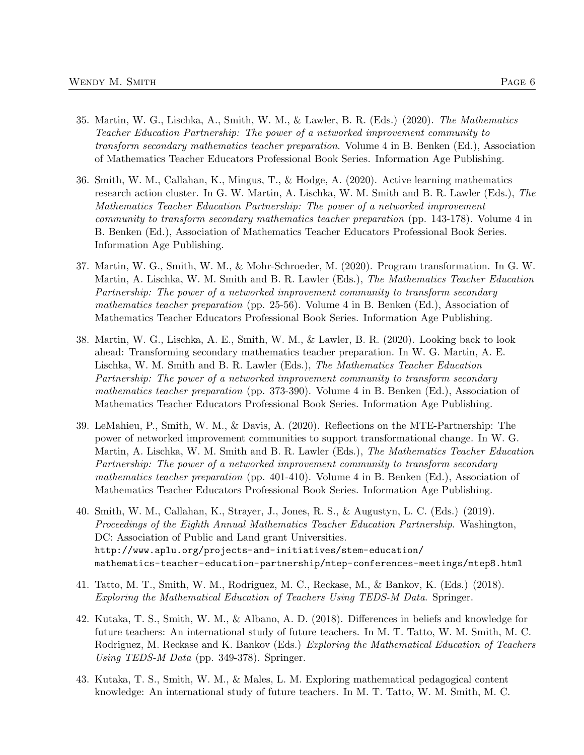- 35. Martin, W. G., Lischka, A., Smith, W. M., & Lawler, B. R. (Eds.) (2020). The Mathematics Teacher Education Partnership: The power of a networked improvement community to transform secondary mathematics teacher preparation. Volume 4 in B. Benken (Ed.), Association of Mathematics Teacher Educators Professional Book Series. Information Age Publishing.
- 36. Smith, W. M., Callahan, K., Mingus, T., & Hodge, A. (2020). Active learning mathematics research action cluster. In G. W. Martin, A. Lischka, W. M. Smith and B. R. Lawler (Eds.), The Mathematics Teacher Education Partnership: The power of a networked improvement community to transform secondary mathematics teacher preparation (pp. 143-178). Volume 4 in B. Benken (Ed.), Association of Mathematics Teacher Educators Professional Book Series. Information Age Publishing.
- 37. Martin, W. G., Smith, W. M., & Mohr-Schroeder, M. (2020). Program transformation. In G. W. Martin, A. Lischka, W. M. Smith and B. R. Lawler (Eds.), The Mathematics Teacher Education Partnership: The power of a networked improvement community to transform secondary mathematics teacher preparation (pp. 25-56). Volume 4 in B. Benken (Ed.), Association of Mathematics Teacher Educators Professional Book Series. Information Age Publishing.
- 38. Martin, W. G., Lischka, A. E., Smith, W. M., & Lawler, B. R. (2020). Looking back to look ahead: Transforming secondary mathematics teacher preparation. In W. G. Martin, A. E. Lischka, W. M. Smith and B. R. Lawler (Eds.), The Mathematics Teacher Education Partnership: The power of a networked improvement community to transform secondary mathematics teacher preparation (pp. 373-390). Volume 4 in B. Benken (Ed.), Association of Mathematics Teacher Educators Professional Book Series. Information Age Publishing.
- 39. LeMahieu, P., Smith, W. M., & Davis, A. (2020). Reflections on the MTE-Partnership: The power of networked improvement communities to support transformational change. In W. G. Martin, A. Lischka, W. M. Smith and B. R. Lawler (Eds.), The Mathematics Teacher Education Partnership: The power of a networked improvement community to transform secondary mathematics teacher preparation (pp. 401-410). Volume 4 in B. Benken (Ed.), Association of Mathematics Teacher Educators Professional Book Series. Information Age Publishing.
- 40. Smith, W. M., Callahan, K., Strayer, J., Jones, R. S., & Augustyn, L. C. (Eds.) (2019). Proceedings of the Eighth Annual Mathematics Teacher Education Partnership. Washington, DC: Association of Public and Land grant Universities. http://www.aplu.org/projects-and-initiatives/stem-education/ mathematics-teacher-education-partnership/mtep-conferences-meetings/mtep8.html
- 41. Tatto, M. T., Smith, W. M., Rodriguez, M. C., Reckase, M., & Bankov, K. (Eds.) (2018). Exploring the Mathematical Education of Teachers Using TEDS-M Data. Springer.
- 42. Kutaka, T. S., Smith, W. M., & Albano, A. D. (2018). Differences in beliefs and knowledge for future teachers: An international study of future teachers. In M. T. Tatto, W. M. Smith, M. C. Rodriguez, M. Reckase and K. Bankov (Eds.) Exploring the Mathematical Education of Teachers Using TEDS-M Data (pp. 349-378). Springer.
- 43. Kutaka, T. S., Smith, W. M., & Males, L. M. Exploring mathematical pedagogical content knowledge: An international study of future teachers. In M. T. Tatto, W. M. Smith, M. C.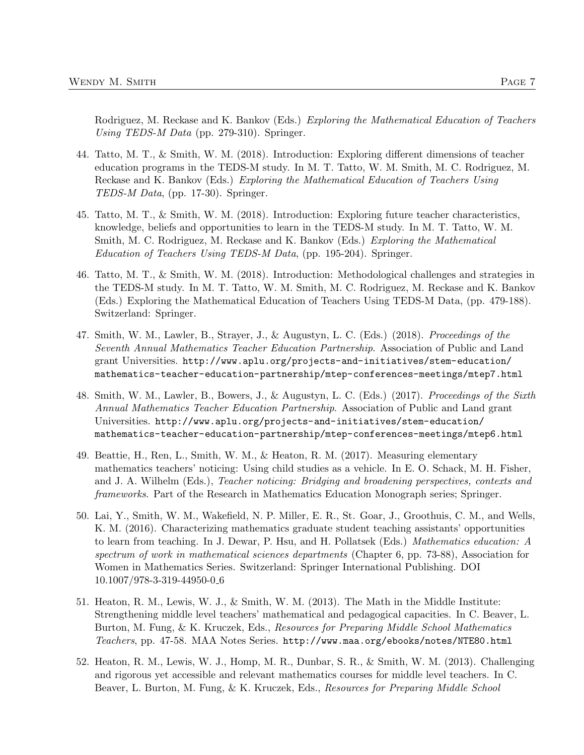Rodriguez, M. Reckase and K. Bankov (Eds.) Exploring the Mathematical Education of Teachers Using TEDS-M Data (pp. 279-310). Springer.

- 44. Tatto, M. T., & Smith, W. M. (2018). Introduction: Exploring different dimensions of teacher education programs in the TEDS-M study. In M. T. Tatto, W. M. Smith, M. C. Rodriguez, M. Reckase and K. Bankov (Eds.) Exploring the Mathematical Education of Teachers Using TEDS-M Data, (pp. 17-30). Springer.
- 45. Tatto, M. T., & Smith, W. M. (2018). Introduction: Exploring future teacher characteristics, knowledge, beliefs and opportunities to learn in the TEDS-M study. In M. T. Tatto, W. M. Smith, M. C. Rodriguez, M. Reckase and K. Bankov (Eds.) Exploring the Mathematical Education of Teachers Using TEDS-M Data, (pp. 195-204). Springer.
- 46. Tatto, M. T., & Smith, W. M. (2018). Introduction: Methodological challenges and strategies in the TEDS-M study. In M. T. Tatto, W. M. Smith, M. C. Rodriguez, M. Reckase and K. Bankov (Eds.) Exploring the Mathematical Education of Teachers Using TEDS-M Data, (pp. 479-188). Switzerland: Springer.
- 47. Smith, W. M., Lawler, B., Strayer, J., & Augustyn, L. C. (Eds.) (2018). Proceedings of the Seventh Annual Mathematics Teacher Education Partnership. Association of Public and Land grant Universities. http://www.aplu.org/projects-and-initiatives/stem-education/ mathematics-teacher-education-partnership/mtep-conferences-meetings/mtep7.html
- 48. Smith, W. M., Lawler, B., Bowers, J., & Augustyn, L. C. (Eds.) (2017). Proceedings of the Sixth Annual Mathematics Teacher Education Partnership. Association of Public and Land grant Universities. http://www.aplu.org/projects-and-initiatives/stem-education/ mathematics-teacher-education-partnership/mtep-conferences-meetings/mtep6.html
- 49. Beattie, H., Ren, L., Smith, W. M., & Heaton, R. M. (2017). Measuring elementary mathematics teachers' noticing: Using child studies as a vehicle. In E. O. Schack, M. H. Fisher, and J. A. Wilhelm (Eds.), Teacher noticing: Bridging and broadening perspectives, contexts and frameworks. Part of the Research in Mathematics Education Monograph series; Springer.
- 50. Lai, Y., Smith, W. M., Wakefield, N. P. Miller, E. R., St. Goar, J., Groothuis, C. M., and Wells, K. M. (2016). Characterizing mathematics graduate student teaching assistants' opportunities to learn from teaching. In J. Dewar, P. Hsu, and H. Pollatsek (Eds.) Mathematics education: A spectrum of work in mathematical sciences departments (Chapter 6, pp. 73-88), Association for Women in Mathematics Series. Switzerland: Springer International Publishing. DOI 10.1007/978-3-319-44950-0 6
- 51. Heaton, R. M., Lewis, W. J., & Smith, W. M. (2013). The Math in the Middle Institute: Strengthening middle level teachers' mathematical and pedagogical capacities. In C. Beaver, L. Burton, M. Fung, & K. Kruczek, Eds., Resources for Preparing Middle School Mathematics Teachers, pp. 47-58. MAA Notes Series. http://www.maa.org/ebooks/notes/NTE80.html
- 52. Heaton, R. M., Lewis, W. J., Homp, M. R., Dunbar, S. R., & Smith, W. M. (2013). Challenging and rigorous yet accessible and relevant mathematics courses for middle level teachers. In C. Beaver, L. Burton, M. Fung, & K. Kruczek, Eds., Resources for Preparing Middle School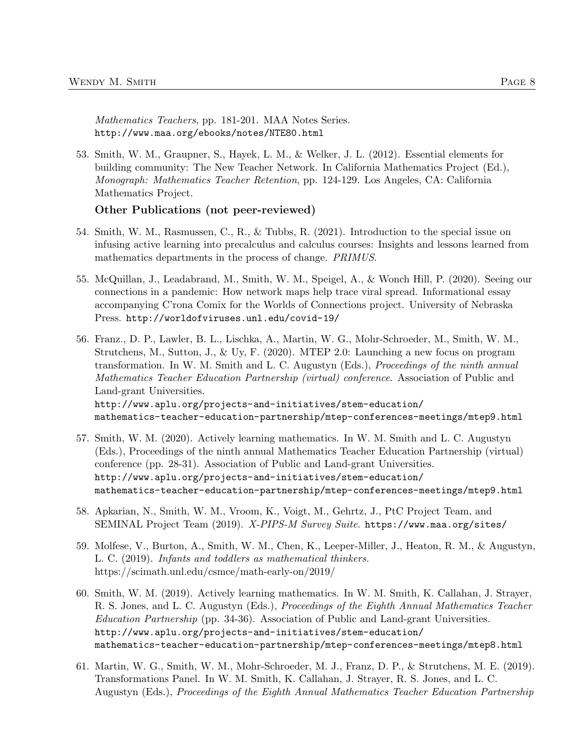Mathematics Teachers, pp. 181-201. MAA Notes Series. http://www.maa.org/ebooks/notes/NTE80.html

53. Smith, W. M., Graupner, S., Hayek, L. M., & Welker, J. L. (2012). Essential elements for building community: The New Teacher Network. In California Mathematics Project (Ed.), Monograph: Mathematics Teacher Retention, pp. 124-129. Los Angeles, CA: California Mathematics Project.

### Other Publications (not peer-reviewed)

- 54. Smith, W. M., Rasmussen, C., R., & Tubbs, R. (2021). Introduction to the special issue on infusing active learning into precalculus and calculus courses: Insights and lessons learned from mathematics departments in the process of change. PRIMUS.
- 55. McQuillan, J., Leadabrand, M., Smith, W. M., Speigel, A., & Wonch Hill, P. (2020). Seeing our connections in a pandemic: How network maps help trace viral spread. Informational essay accompanying C'rona Comix for the Worlds of Connections project. University of Nebraska Press. http://worldofviruses.unl.edu/covid-19/
- 56. Franz., D. P., Lawler, B. L., Lischka, A., Martin, W. G., Mohr-Schroeder, M., Smith, W. M., Strutchens, M., Sutton, J., & Uy, F. (2020). MTEP 2.0: Launching a new focus on program transformation. In W. M. Smith and L. C. Augustyn (Eds.), Proceedings of the ninth annual Mathematics Teacher Education Partnership (virtual) conference. Association of Public and Land-grant Universities. http://www.aplu.org/projects-and-initiatives/stem-education/ mathematics-teacher-education-partnership/mtep-conferences-meetings/mtep9.html
- 57. Smith, W. M. (2020). Actively learning mathematics. In W. M. Smith and L. C. Augustyn (Eds.), Proceedings of the ninth annual Mathematics Teacher Education Partnership (virtual) conference (pp. 28-31). Association of Public and Land-grant Universities. http://www.aplu.org/projects-and-initiatives/stem-education/ mathematics-teacher-education-partnership/mtep-conferences-meetings/mtep9.html
- 58. Apkarian, N., Smith, W. M., Vroom, K., Voigt, M., Gehrtz, J., PtC Project Team, and SEMINAL Project Team (2019). X-PIPS-M Survey Suite. https://www.maa.org/sites/
- 59. Molfese, V., Burton, A., Smith, W. M., Chen, K., Leeper-Miller, J., Heaton, R. M., & Augustyn, L. C. (2019). Infants and toddlers as mathematical thinkers. https://scimath.unl.edu/csmce/math-early-on/2019/
- 60. Smith, W. M. (2019). Actively learning mathematics. In W. M. Smith, K. Callahan, J. Strayer, R. S. Jones, and L. C. Augustyn (Eds.), Proceedings of the Eighth Annual Mathematics Teacher Education Partnership (pp. 34-36). Association of Public and Land-grant Universities. http://www.aplu.org/projects-and-initiatives/stem-education/ mathematics-teacher-education-partnership/mtep-conferences-meetings/mtep8.html
- 61. Martin, W. G., Smith, W. M., Mohr-Schroeder, M. J., Franz, D. P., & Strutchens, M. E. (2019). Transformations Panel. In W. M. Smith, K. Callahan, J. Strayer, R. S. Jones, and L. C. Augustyn (Eds.), Proceedings of the Eighth Annual Mathematics Teacher Education Partnership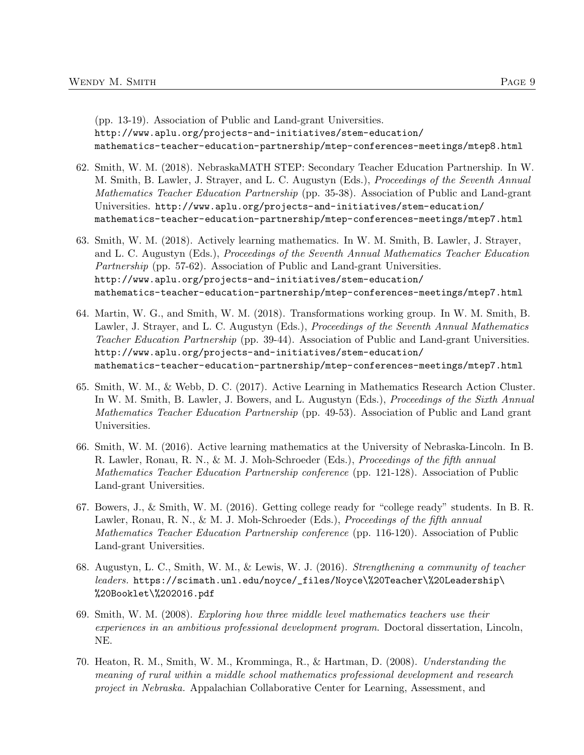(pp. 13-19). Association of Public and Land-grant Universities. http://www.aplu.org/projects-and-initiatives/stem-education/ mathematics-teacher-education-partnership/mtep-conferences-meetings/mtep8.html

- 62. Smith, W. M. (2018). NebraskaMATH STEP: Secondary Teacher Education Partnership. In W. M. Smith, B. Lawler, J. Strayer, and L. C. Augustyn (Eds.), Proceedings of the Seventh Annual Mathematics Teacher Education Partnership (pp. 35-38). Association of Public and Land-grant Universities. http://www.aplu.org/projects-and-initiatives/stem-education/ mathematics-teacher-education-partnership/mtep-conferences-meetings/mtep7.html
- 63. Smith, W. M. (2018). Actively learning mathematics. In W. M. Smith, B. Lawler, J. Strayer, and L. C. Augustyn (Eds.), Proceedings of the Seventh Annual Mathematics Teacher Education Partnership (pp. 57-62). Association of Public and Land-grant Universities. http://www.aplu.org/projects-and-initiatives/stem-education/ mathematics-teacher-education-partnership/mtep-conferences-meetings/mtep7.html
- 64. Martin, W. G., and Smith, W. M. (2018). Transformations working group. In W. M. Smith, B. Lawler, J. Strayer, and L. C. Augustyn (Eds.), Proceedings of the Seventh Annual Mathematics Teacher Education Partnership (pp. 39-44). Association of Public and Land-grant Universities. http://www.aplu.org/projects-and-initiatives/stem-education/ mathematics-teacher-education-partnership/mtep-conferences-meetings/mtep7.html
- 65. Smith, W. M., & Webb, D. C. (2017). Active Learning in Mathematics Research Action Cluster. In W. M. Smith, B. Lawler, J. Bowers, and L. Augustyn (Eds.), *Proceedings of the Sixth Annual* Mathematics Teacher Education Partnership (pp. 49-53). Association of Public and Land grant Universities.
- 66. Smith, W. M. (2016). Active learning mathematics at the University of Nebraska-Lincoln. In B. R. Lawler, Ronau, R. N., & M. J. Moh-Schroeder (Eds.), Proceedings of the fifth annual Mathematics Teacher Education Partnership conference (pp. 121-128). Association of Public Land-grant Universities.
- 67. Bowers, J., & Smith, W. M. (2016). Getting college ready for "college ready" students. In B. R. Lawler, Ronau, R. N., & M. J. Moh-Schroeder (Eds.), *Proceedings of the fifth annual* Mathematics Teacher Education Partnership conference (pp. 116-120). Association of Public Land-grant Universities.
- 68. Augustyn, L. C., Smith, W. M., & Lewis, W. J. (2016). Strengthening a community of teacher leaders. https://scimath.unl.edu/noyce/\_files/Noyce\%20Teacher\%20Leadership\ %20Booklet\%202016.pdf
- 69. Smith, W. M. (2008). Exploring how three middle level mathematics teachers use their experiences in an ambitious professional development program. Doctoral dissertation, Lincoln, NE.
- 70. Heaton, R. M., Smith, W. M., Kromminga, R., & Hartman, D. (2008). Understanding the meaning of rural within a middle school mathematics professional development and research project in Nebraska. Appalachian Collaborative Center for Learning, Assessment, and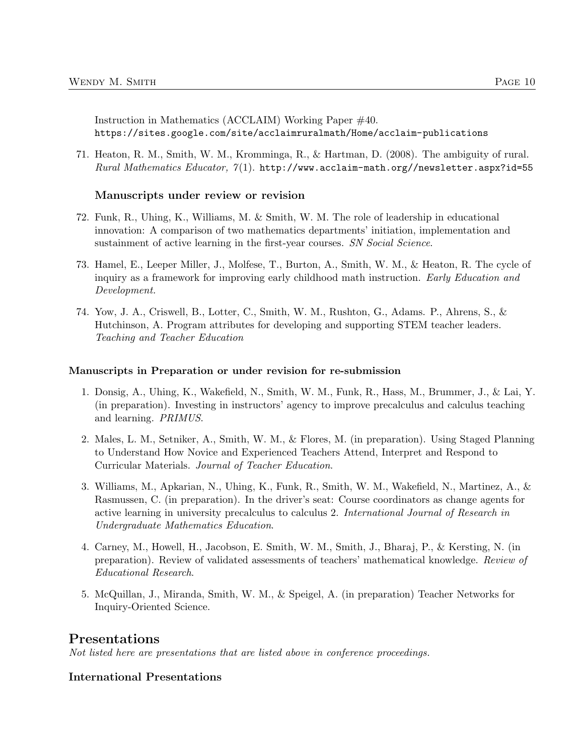Instruction in Mathematics (ACCLAIM) Working Paper #40. https://sites.google.com/site/acclaimruralmath/Home/acclaim-publications

71. Heaton, R. M., Smith, W. M., Kromminga, R., & Hartman, D. (2008). The ambiguity of rural.  $Rural Mathematics Education, 7(1).$  http://www.acclaim-math.org//newsletter.aspx?id=55

#### Manuscripts under review or revision

- 72. Funk, R., Uhing, K., Williams, M. & Smith, W. M. The role of leadership in educational innovation: A comparison of two mathematics departments' initiation, implementation and sustainment of active learning in the first-year courses. SN Social Science.
- 73. Hamel, E., Leeper Miller, J., Molfese, T., Burton, A., Smith, W. M., & Heaton, R. The cycle of inquiry as a framework for improving early childhood math instruction. Early Education and Development.
- 74. Yow, J. A., Criswell, B., Lotter, C., Smith, W. M., Rushton, G., Adams. P., Ahrens, S., & Hutchinson, A. Program attributes for developing and supporting STEM teacher leaders. Teaching and Teacher Education

#### Manuscripts in Preparation or under revision for re-submission

- 1. Donsig, A., Uhing, K., Wakefield, N., Smith, W. M., Funk, R., Hass, M., Brummer, J., & Lai, Y. (in preparation). Investing in instructors' agency to improve precalculus and calculus teaching and learning. PRIMUS.
- 2. Males, L. M., Setniker, A., Smith, W. M., & Flores, M. (in preparation). Using Staged Planning to Understand How Novice and Experienced Teachers Attend, Interpret and Respond to Curricular Materials. Journal of Teacher Education.
- 3. Williams, M., Apkarian, N., Uhing, K., Funk, R., Smith, W. M., Wakefield, N., Martinez, A., & Rasmussen, C. (in preparation). In the driver's seat: Course coordinators as change agents for active learning in university precalculus to calculus 2. International Journal of Research in Undergraduate Mathematics Education.
- 4. Carney, M., Howell, H., Jacobson, E. Smith, W. M., Smith, J., Bharaj, P., & Kersting, N. (in preparation). Review of validated assessments of teachers' mathematical knowledge. Review of Educational Research.
- 5. McQuillan, J., Miranda, Smith, W. M., & Speigel, A. (in preparation) Teacher Networks for Inquiry-Oriented Science.

### Presentations

Not listed here are presentations that are listed above in conference proceedings.

### International Presentations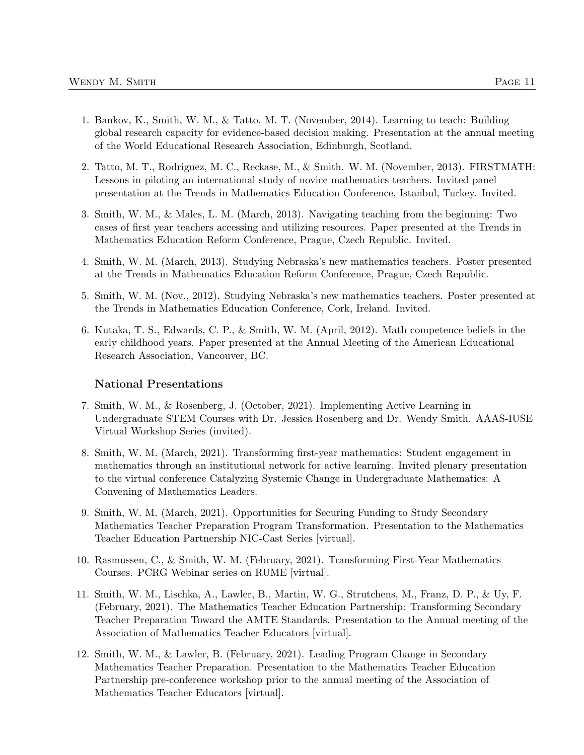- 1. Bankov, K., Smith, W. M., & Tatto, M. T. (November, 2014). Learning to teach: Building global research capacity for evidence-based decision making. Presentation at the annual meeting of the World Educational Research Association, Edinburgh, Scotland.
- 2. Tatto, M. T., Rodriguez, M. C., Reckase, M., & Smith. W. M. (November, 2013). FIRSTMATH: Lessons in piloting an international study of novice mathematics teachers. Invited panel presentation at the Trends in Mathematics Education Conference, Istanbul, Turkey. Invited.
- 3. Smith, W. M., & Males, L. M. (March, 2013). Navigating teaching from the beginning: Two cases of first year teachers accessing and utilizing resources. Paper presented at the Trends in Mathematics Education Reform Conference, Prague, Czech Republic. Invited.
- 4. Smith, W. M. (March, 2013). Studying Nebraska's new mathematics teachers. Poster presented at the Trends in Mathematics Education Reform Conference, Prague, Czech Republic.
- 5. Smith, W. M. (Nov., 2012). Studying Nebraska's new mathematics teachers. Poster presented at the Trends in Mathematics Education Conference, Cork, Ireland. Invited.
- 6. Kutaka, T. S., Edwards, C. P., & Smith, W. M. (April, 2012). Math competence beliefs in the early childhood years. Paper presented at the Annual Meeting of the American Educational Research Association, Vancouver, BC.

#### National Presentations

- 7. Smith, W. M., & Rosenberg, J. (October, 2021). Implementing Active Learning in Undergraduate STEM Courses with Dr. Jessica Rosenberg and Dr. Wendy Smith. AAAS-IUSE Virtual Workshop Series (invited).
- 8. Smith, W. M. (March, 2021). Transforming first-year mathematics: Student engagement in mathematics through an institutional network for active learning. Invited plenary presentation to the virtual conference Catalyzing Systemic Change in Undergraduate Mathematics: A Convening of Mathematics Leaders.
- 9. Smith, W. M. (March, 2021). Opportunities for Securing Funding to Study Secondary Mathematics Teacher Preparation Program Transformation. Presentation to the Mathematics Teacher Education Partnership NIC-Cast Series [virtual].
- 10. Rasmussen, C., & Smith, W. M. (February, 2021). Transforming First-Year Mathematics Courses. PCRG Webinar series on RUME [virtual].
- 11. Smith, W. M., Lischka, A., Lawler, B., Martin, W. G., Strutchens, M., Franz, D. P., & Uy, F. (February, 2021). The Mathematics Teacher Education Partnership: Transforming Secondary Teacher Preparation Toward the AMTE Standards. Presentation to the Annual meeting of the Association of Mathematics Teacher Educators [virtual].
- 12. Smith, W. M., & Lawler, B. (February, 2021). Leading Program Change in Secondary Mathematics Teacher Preparation. Presentation to the Mathematics Teacher Education Partnership pre-conference workshop prior to the annual meeting of the Association of Mathematics Teacher Educators [virtual].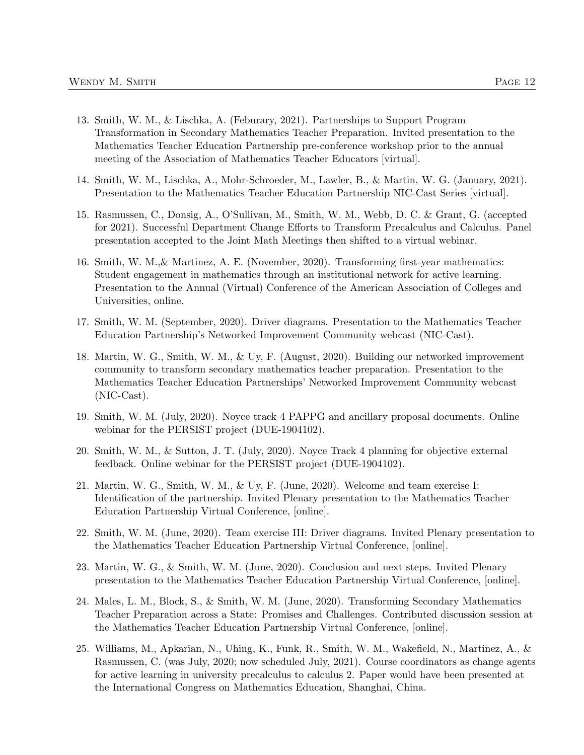- 13. Smith, W. M., & Lischka, A. (Feburary, 2021). Partnerships to Support Program Transformation in Secondary Mathematics Teacher Preparation. Invited presentation to the Mathematics Teacher Education Partnership pre-conference workshop prior to the annual meeting of the Association of Mathematics Teacher Educators [virtual].
- 14. Smith, W. M., Lischka, A., Mohr-Schroeder, M., Lawler, B., & Martin, W. G. (January, 2021). Presentation to the Mathematics Teacher Education Partnership NIC-Cast Series [virtual].
- 15. Rasmussen, C., Donsig, A., O'Sullivan, M., Smith, W. M., Webb, D. C. & Grant, G. (accepted for 2021). Successful Department Change Efforts to Transform Precalculus and Calculus. Panel presentation accepted to the Joint Math Meetings then shifted to a virtual webinar.
- 16. Smith, W. M.,& Martinez, A. E. (November, 2020). Transforming first-year mathematics: Student engagement in mathematics through an institutional network for active learning. Presentation to the Annual (Virtual) Conference of the American Association of Colleges and Universities, online.
- 17. Smith, W. M. (September, 2020). Driver diagrams. Presentation to the Mathematics Teacher Education Partnership's Networked Improvement Community webcast (NIC-Cast).
- 18. Martin, W. G., Smith, W. M., & Uy, F. (August, 2020). Building our networked improvement community to transform secondary mathematics teacher preparation. Presentation to the Mathematics Teacher Education Partnerships' Networked Improvement Community webcast (NIC-Cast).
- 19. Smith, W. M. (July, 2020). Noyce track 4 PAPPG and ancillary proposal documents. Online webinar for the PERSIST project (DUE-1904102).
- 20. Smith, W. M., & Sutton, J. T. (July, 2020). Noyce Track 4 planning for objective external feedback. Online webinar for the PERSIST project (DUE-1904102).
- 21. Martin, W. G., Smith, W. M., & Uy, F. (June, 2020). Welcome and team exercise I: Identification of the partnership. Invited Plenary presentation to the Mathematics Teacher Education Partnership Virtual Conference, [online].
- 22. Smith, W. M. (June, 2020). Team exercise III: Driver diagrams. Invited Plenary presentation to the Mathematics Teacher Education Partnership Virtual Conference, [online].
- 23. Martin, W. G., & Smith, W. M. (June, 2020). Conclusion and next steps. Invited Plenary presentation to the Mathematics Teacher Education Partnership Virtual Conference, [online].
- 24. Males, L. M., Block, S., & Smith, W. M. (June, 2020). Transforming Secondary Mathematics Teacher Preparation across a State: Promises and Challenges. Contributed discussion session at the Mathematics Teacher Education Partnership Virtual Conference, [online].
- 25. Williams, M., Apkarian, N., Uhing, K., Funk, R., Smith, W. M., Wakefield, N., Martinez, A., & Rasmussen, C. (was July, 2020; now scheduled July, 2021). Course coordinators as change agents for active learning in university precalculus to calculus 2. Paper would have been presented at the International Congress on Mathematics Education, Shanghai, China.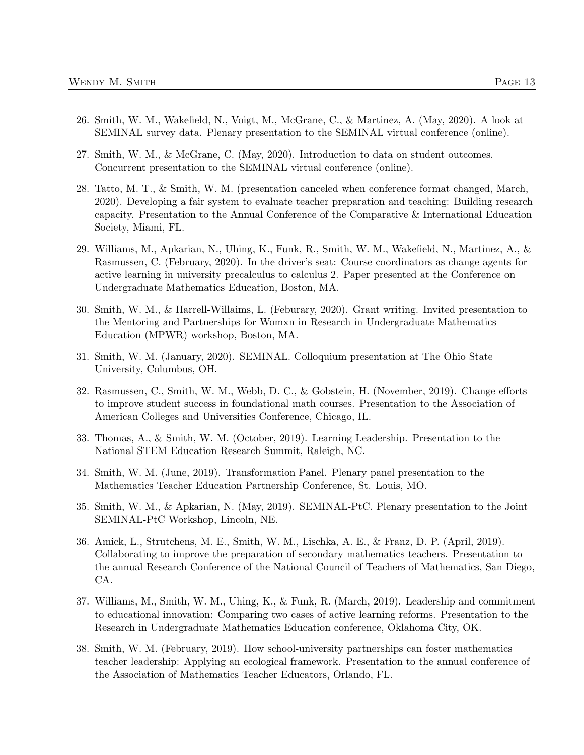- 26. Smith, W. M., Wakefield, N., Voigt, M., McGrane, C., & Martinez, A. (May, 2020). A look at SEMINAL survey data. Plenary presentation to the SEMINAL virtual conference (online).
- 27. Smith, W. M., & McGrane, C. (May, 2020). Introduction to data on student outcomes. Concurrent presentation to the SEMINAL virtual conference (online).
- 28. Tatto, M. T., & Smith, W. M. (presentation canceled when conference format changed, March, 2020). Developing a fair system to evaluate teacher preparation and teaching: Building research capacity. Presentation to the Annual Conference of the Comparative & International Education Society, Miami, FL.
- 29. Williams, M., Apkarian, N., Uhing, K., Funk, R., Smith, W. M., Wakefield, N., Martinez, A., & Rasmussen, C. (February, 2020). In the driver's seat: Course coordinators as change agents for active learning in university precalculus to calculus 2. Paper presented at the Conference on Undergraduate Mathematics Education, Boston, MA.
- 30. Smith, W. M., & Harrell-Willaims, L. (Feburary, 2020). Grant writing. Invited presentation to the Mentoring and Partnerships for Womxn in Research in Undergraduate Mathematics Education (MPWR) workshop, Boston, MA.
- 31. Smith, W. M. (January, 2020). SEMINAL. Colloquium presentation at The Ohio State University, Columbus, OH.
- 32. Rasmussen, C., Smith, W. M., Webb, D. C., & Gobstein, H. (November, 2019). Change efforts to improve student success in foundational math courses. Presentation to the Association of American Colleges and Universities Conference, Chicago, IL.
- 33. Thomas, A., & Smith, W. M. (October, 2019). Learning Leadership. Presentation to the National STEM Education Research Summit, Raleigh, NC.
- 34. Smith, W. M. (June, 2019). Transformation Panel. Plenary panel presentation to the Mathematics Teacher Education Partnership Conference, St. Louis, MO.
- 35. Smith, W. M., & Apkarian, N. (May, 2019). SEMINAL-PtC. Plenary presentation to the Joint SEMINAL-PtC Workshop, Lincoln, NE.
- 36. Amick, L., Strutchens, M. E., Smith, W. M., Lischka, A. E., & Franz, D. P. (April, 2019). Collaborating to improve the preparation of secondary mathematics teachers. Presentation to the annual Research Conference of the National Council of Teachers of Mathematics, San Diego, CA.
- 37. Williams, M., Smith, W. M., Uhing, K., & Funk, R. (March, 2019). Leadership and commitment to educational innovation: Comparing two cases of active learning reforms. Presentation to the Research in Undergraduate Mathematics Education conference, Oklahoma City, OK.
- 38. Smith, W. M. (February, 2019). How school-university partnerships can foster mathematics teacher leadership: Applying an ecological framework. Presentation to the annual conference of the Association of Mathematics Teacher Educators, Orlando, FL.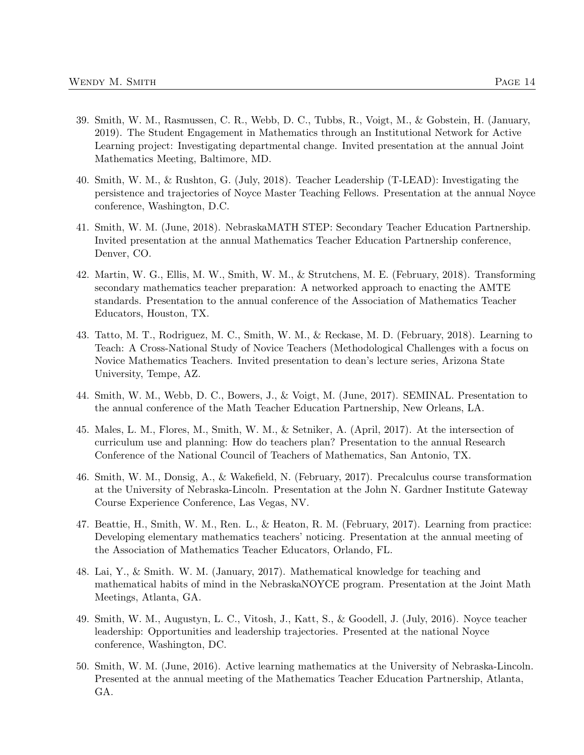- 39. Smith, W. M., Rasmussen, C. R., Webb, D. C., Tubbs, R., Voigt, M., & Gobstein, H. (January, 2019). The Student Engagement in Mathematics through an Institutional Network for Active Learning project: Investigating departmental change. Invited presentation at the annual Joint Mathematics Meeting, Baltimore, MD.
- 40. Smith, W. M., & Rushton, G. (July, 2018). Teacher Leadership (T-LEAD): Investigating the persistence and trajectories of Noyce Master Teaching Fellows. Presentation at the annual Noyce conference, Washington, D.C.
- 41. Smith, W. M. (June, 2018). NebraskaMATH STEP: Secondary Teacher Education Partnership. Invited presentation at the annual Mathematics Teacher Education Partnership conference, Denver, CO.
- 42. Martin, W. G., Ellis, M. W., Smith, W. M., & Strutchens, M. E. (February, 2018). Transforming secondary mathematics teacher preparation: A networked approach to enacting the AMTE standards. Presentation to the annual conference of the Association of Mathematics Teacher Educators, Houston, TX.
- 43. Tatto, M. T., Rodriguez, M. C., Smith, W. M., & Reckase, M. D. (February, 2018). Learning to Teach: A Cross-National Study of Novice Teachers (Methodological Challenges with a focus on Novice Mathematics Teachers. Invited presentation to dean's lecture series, Arizona State University, Tempe, AZ.
- 44. Smith, W. M., Webb, D. C., Bowers, J., & Voigt, M. (June, 2017). SEMINAL. Presentation to the annual conference of the Math Teacher Education Partnership, New Orleans, LA.
- 45. Males, L. M., Flores, M., Smith, W. M., & Setniker, A. (April, 2017). At the intersection of curriculum use and planning: How do teachers plan? Presentation to the annual Research Conference of the National Council of Teachers of Mathematics, San Antonio, TX.
- 46. Smith, W. M., Donsig, A., & Wakefield, N. (February, 2017). Precalculus course transformation at the University of Nebraska-Lincoln. Presentation at the John N. Gardner Institute Gateway Course Experience Conference, Las Vegas, NV.
- 47. Beattie, H., Smith, W. M., Ren. L., & Heaton, R. M. (February, 2017). Learning from practice: Developing elementary mathematics teachers' noticing. Presentation at the annual meeting of the Association of Mathematics Teacher Educators, Orlando, FL.
- 48. Lai, Y., & Smith. W. M. (January, 2017). Mathematical knowledge for teaching and mathematical habits of mind in the NebraskaNOYCE program. Presentation at the Joint Math Meetings, Atlanta, GA.
- 49. Smith, W. M., Augustyn, L. C., Vitosh, J., Katt, S., & Goodell, J. (July, 2016). Noyce teacher leadership: Opportunities and leadership trajectories. Presented at the national Noyce conference, Washington, DC.
- 50. Smith, W. M. (June, 2016). Active learning mathematics at the University of Nebraska-Lincoln. Presented at the annual meeting of the Mathematics Teacher Education Partnership, Atlanta, GA.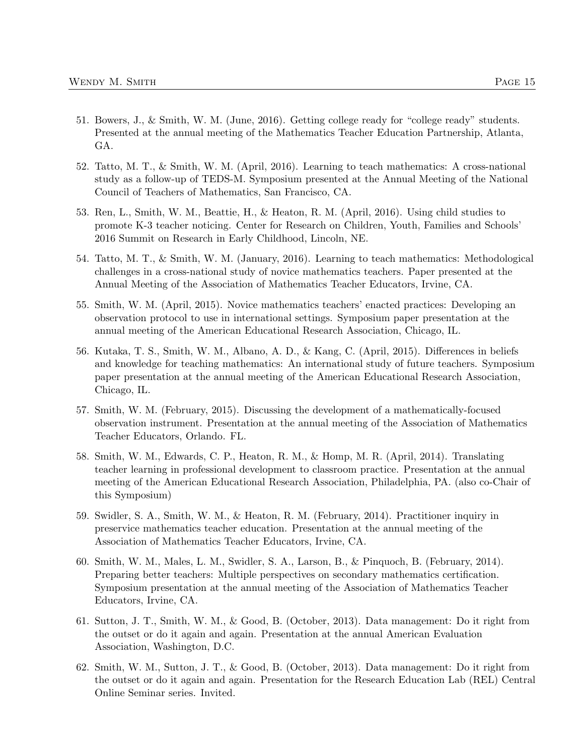- 51. Bowers, J., & Smith, W. M. (June, 2016). Getting college ready for "college ready" students. Presented at the annual meeting of the Mathematics Teacher Education Partnership, Atlanta, GA.
- 52. Tatto, M. T., & Smith, W. M. (April, 2016). Learning to teach mathematics: A cross-national study as a follow-up of TEDS-M. Symposium presented at the Annual Meeting of the National Council of Teachers of Mathematics, San Francisco, CA.
- 53. Ren, L., Smith, W. M., Beattie, H., & Heaton, R. M. (April, 2016). Using child studies to promote K-3 teacher noticing. Center for Research on Children, Youth, Families and Schools' 2016 Summit on Research in Early Childhood, Lincoln, NE.
- 54. Tatto, M. T., & Smith, W. M. (January, 2016). Learning to teach mathematics: Methodological challenges in a cross-national study of novice mathematics teachers. Paper presented at the Annual Meeting of the Association of Mathematics Teacher Educators, Irvine, CA.
- 55. Smith, W. M. (April, 2015). Novice mathematics teachers' enacted practices: Developing an observation protocol to use in international settings. Symposium paper presentation at the annual meeting of the American Educational Research Association, Chicago, IL.
- 56. Kutaka, T. S., Smith, W. M., Albano, A. D., & Kang, C. (April, 2015). Differences in beliefs and knowledge for teaching mathematics: An international study of future teachers. Symposium paper presentation at the annual meeting of the American Educational Research Association, Chicago, IL.
- 57. Smith, W. M. (February, 2015). Discussing the development of a mathematically-focused observation instrument. Presentation at the annual meeting of the Association of Mathematics Teacher Educators, Orlando. FL.
- 58. Smith, W. M., Edwards, C. P., Heaton, R. M., & Homp, M. R. (April, 2014). Translating teacher learning in professional development to classroom practice. Presentation at the annual meeting of the American Educational Research Association, Philadelphia, PA. (also co-Chair of this Symposium)
- 59. Swidler, S. A., Smith, W. M., & Heaton, R. M. (February, 2014). Practitioner inquiry in preservice mathematics teacher education. Presentation at the annual meeting of the Association of Mathematics Teacher Educators, Irvine, CA.
- 60. Smith, W. M., Males, L. M., Swidler, S. A., Larson, B., & Pinquoch, B. (February, 2014). Preparing better teachers: Multiple perspectives on secondary mathematics certification. Symposium presentation at the annual meeting of the Association of Mathematics Teacher Educators, Irvine, CA.
- 61. Sutton, J. T., Smith, W. M., & Good, B. (October, 2013). Data management: Do it right from the outset or do it again and again. Presentation at the annual American Evaluation Association, Washington, D.C.
- 62. Smith, W. M., Sutton, J. T., & Good, B. (October, 2013). Data management: Do it right from the outset or do it again and again. Presentation for the Research Education Lab (REL) Central Online Seminar series. Invited.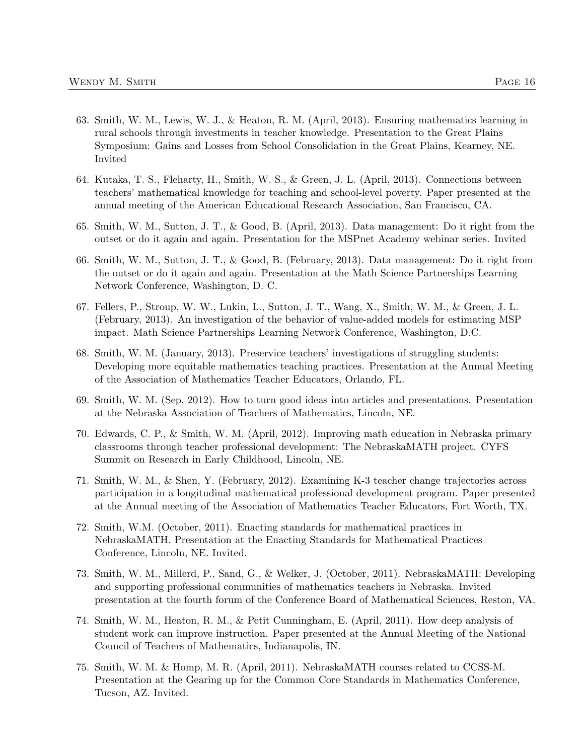- 63. Smith, W. M., Lewis, W. J., & Heaton, R. M. (April, 2013). Ensuring mathematics learning in rural schools through investments in teacher knowledge. Presentation to the Great Plains Symposium: Gains and Losses from School Consolidation in the Great Plains, Kearney, NE. Invited
- 64. Kutaka, T. S., Fleharty, H., Smith, W. S., & Green, J. L. (April, 2013). Connections between teachers' mathematical knowledge for teaching and school-level poverty. Paper presented at the annual meeting of the American Educational Research Association, San Francisco, CA.
- 65. Smith, W. M., Sutton, J. T., & Good, B. (April, 2013). Data management: Do it right from the outset or do it again and again. Presentation for the MSPnet Academy webinar series. Invited
- 66. Smith, W. M., Sutton, J. T., & Good, B. (February, 2013). Data management: Do it right from the outset or do it again and again. Presentation at the Math Science Partnerships Learning Network Conference, Washington, D. C.
- 67. Fellers, P., Stroup, W. W., Lukin, L., Sutton, J. T., Wang, X., Smith, W. M., & Green, J. L. (February, 2013). An investigation of the behavior of value-added models for estimating MSP impact. Math Science Partnerships Learning Network Conference, Washington, D.C.
- 68. Smith, W. M. (January, 2013). Preservice teachers' investigations of struggling students: Developing more equitable mathematics teaching practices. Presentation at the Annual Meeting of the Association of Mathematics Teacher Educators, Orlando, FL.
- 69. Smith, W. M. (Sep, 2012). How to turn good ideas into articles and presentations. Presentation at the Nebraska Association of Teachers of Mathematics, Lincoln, NE.
- 70. Edwards, C. P., & Smith, W. M. (April, 2012). Improving math education in Nebraska primary classrooms through teacher professional development: The NebraskaMATH project. CYFS Summit on Research in Early Childhood, Lincoln, NE.
- 71. Smith, W. M., & Shen, Y. (February, 2012). Examining K-3 teacher change trajectories across participation in a longitudinal mathematical professional development program. Paper presented at the Annual meeting of the Association of Mathematics Teacher Educators, Fort Worth, TX.
- 72. Smith, W.M. (October, 2011). Enacting standards for mathematical practices in NebraskaMATH. Presentation at the Enacting Standards for Mathematical Practices Conference, Lincoln, NE. Invited.
- 73. Smith, W. M., Millerd, P., Sand, G., & Welker, J. (October, 2011). NebraskaMATH: Developing and supporting professional communities of mathematics teachers in Nebraska. Invited presentation at the fourth forum of the Conference Board of Mathematical Sciences, Reston, VA.
- 74. Smith, W. M., Heaton, R. M., & Petit Cunningham, E. (April, 2011). How deep analysis of student work can improve instruction. Paper presented at the Annual Meeting of the National Council of Teachers of Mathematics, Indianapolis, IN.
- 75. Smith, W. M. & Homp, M. R. (April, 2011). NebraskaMATH courses related to CCSS-M. Presentation at the Gearing up for the Common Core Standards in Mathematics Conference, Tucson, AZ. Invited.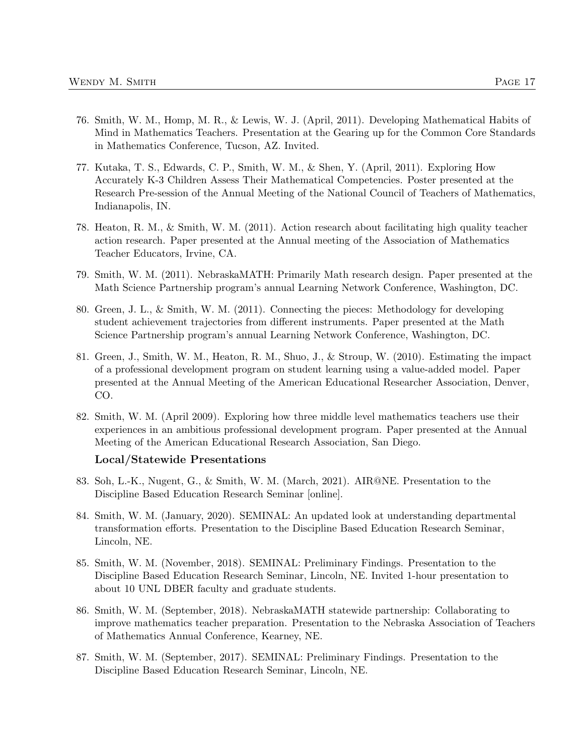- 77. Kutaka, T. S., Edwards, C. P., Smith, W. M., & Shen, Y. (April, 2011). Exploring How Accurately K-3 Children Assess Their Mathematical Competencies. Poster presented at the Research Pre-session of the Annual Meeting of the National Council of Teachers of Mathematics, Indianapolis, IN.
- 78. Heaton, R. M., & Smith, W. M. (2011). Action research about facilitating high quality teacher action research. Paper presented at the Annual meeting of the Association of Mathematics Teacher Educators, Irvine, CA.
- 79. Smith, W. M. (2011). NebraskaMATH: Primarily Math research design. Paper presented at the Math Science Partnership program's annual Learning Network Conference, Washington, DC.
- 80. Green, J. L., & Smith, W. M. (2011). Connecting the pieces: Methodology for developing student achievement trajectories from different instruments. Paper presented at the Math Science Partnership program's annual Learning Network Conference, Washington, DC.
- 81. Green, J., Smith, W. M., Heaton, R. M., Shuo, J., & Stroup, W. (2010). Estimating the impact of a professional development program on student learning using a value-added model. Paper presented at the Annual Meeting of the American Educational Researcher Association, Denver, CO.
- 82. Smith, W. M. (April 2009). Exploring how three middle level mathematics teachers use their experiences in an ambitious professional development program. Paper presented at the Annual Meeting of the American Educational Research Association, San Diego.

#### Local/Statewide Presentations

- 83. Soh, L.-K., Nugent, G., & Smith, W. M. (March, 2021). AIR@NE. Presentation to the Discipline Based Education Research Seminar [online].
- 84. Smith, W. M. (January, 2020). SEMINAL: An updated look at understanding departmental transformation efforts. Presentation to the Discipline Based Education Research Seminar, Lincoln, NE.
- 85. Smith, W. M. (November, 2018). SEMINAL: Preliminary Findings. Presentation to the Discipline Based Education Research Seminar, Lincoln, NE. Invited 1-hour presentation to about 10 UNL DBER faculty and graduate students.
- 86. Smith, W. M. (September, 2018). NebraskaMATH statewide partnership: Collaborating to improve mathematics teacher preparation. Presentation to the Nebraska Association of Teachers of Mathematics Annual Conference, Kearney, NE.
- 87. Smith, W. M. (September, 2017). SEMINAL: Preliminary Findings. Presentation to the Discipline Based Education Research Seminar, Lincoln, NE.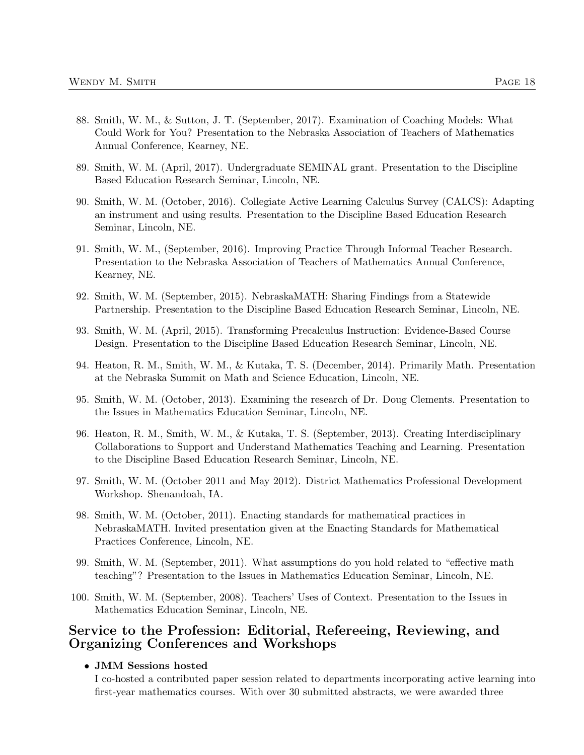- 88. Smith, W. M., & Sutton, J. T. (September, 2017). Examination of Coaching Models: What Could Work for You? Presentation to the Nebraska Association of Teachers of Mathematics Annual Conference, Kearney, NE.
- 89. Smith, W. M. (April, 2017). Undergraduate SEMINAL grant. Presentation to the Discipline Based Education Research Seminar, Lincoln, NE.
- 90. Smith, W. M. (October, 2016). Collegiate Active Learning Calculus Survey (CALCS): Adapting an instrument and using results. Presentation to the Discipline Based Education Research Seminar, Lincoln, NE.
- 91. Smith, W. M., (September, 2016). Improving Practice Through Informal Teacher Research. Presentation to the Nebraska Association of Teachers of Mathematics Annual Conference, Kearney, NE.
- 92. Smith, W. M. (September, 2015). NebraskaMATH: Sharing Findings from a Statewide Partnership. Presentation to the Discipline Based Education Research Seminar, Lincoln, NE.
- 93. Smith, W. M. (April, 2015). Transforming Precalculus Instruction: Evidence-Based Course Design. Presentation to the Discipline Based Education Research Seminar, Lincoln, NE.
- 94. Heaton, R. M., Smith, W. M., & Kutaka, T. S. (December, 2014). Primarily Math. Presentation at the Nebraska Summit on Math and Science Education, Lincoln, NE.
- 95. Smith, W. M. (October, 2013). Examining the research of Dr. Doug Clements. Presentation to the Issues in Mathematics Education Seminar, Lincoln, NE.
- 96. Heaton, R. M., Smith, W. M., & Kutaka, T. S. (September, 2013). Creating Interdisciplinary Collaborations to Support and Understand Mathematics Teaching and Learning. Presentation to the Discipline Based Education Research Seminar, Lincoln, NE.
- 97. Smith, W. M. (October 2011 and May 2012). District Mathematics Professional Development Workshop. Shenandoah, IA.
- 98. Smith, W. M. (October, 2011). Enacting standards for mathematical practices in NebraskaMATH. Invited presentation given at the Enacting Standards for Mathematical Practices Conference, Lincoln, NE.
- 99. Smith, W. M. (September, 2011). What assumptions do you hold related to "effective math teaching"? Presentation to the Issues in Mathematics Education Seminar, Lincoln, NE.
- 100. Smith, W. M. (September, 2008). Teachers' Uses of Context. Presentation to the Issues in Mathematics Education Seminar, Lincoln, NE.

# Service to the Profession: Editorial, Refereeing, Reviewing, and Organizing Conferences and Workshops

#### • JMM Sessions hosted

I co-hosted a contributed paper session related to departments incorporating active learning into first-year mathematics courses. With over 30 submitted abstracts, we were awarded three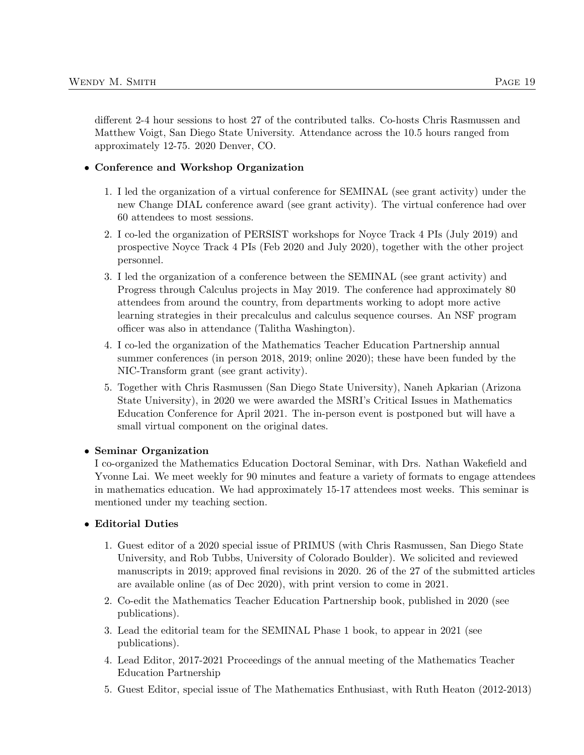different 2-4 hour sessions to host 27 of the contributed talks. Co-hosts Chris Rasmussen and Matthew Voigt, San Diego State University. Attendance across the 10.5 hours ranged from approximately 12-75. 2020 Denver, CO.

### • Conference and Workshop Organization

- 1. I led the organization of a virtual conference for SEMINAL (see grant activity) under the new Change DIAL conference award (see grant activity). The virtual conference had over 60 attendees to most sessions.
- 2. I co-led the organization of PERSIST workshops for Noyce Track 4 PIs (July 2019) and prospective Noyce Track 4 PIs (Feb 2020 and July 2020), together with the other project personnel.
- 3. I led the organization of a conference between the SEMINAL (see grant activity) and Progress through Calculus projects in May 2019. The conference had approximately 80 attendees from around the country, from departments working to adopt more active learning strategies in their precalculus and calculus sequence courses. An NSF program officer was also in attendance (Talitha Washington).
- 4. I co-led the organization of the Mathematics Teacher Education Partnership annual summer conferences (in person 2018, 2019; online 2020); these have been funded by the NIC-Transform grant (see grant activity).
- 5. Together with Chris Rasmussen (San Diego State University), Naneh Apkarian (Arizona State University), in 2020 we were awarded the MSRI's Critical Issues in Mathematics Education Conference for April 2021. The in-person event is postponed but will have a small virtual component on the original dates.

### • Seminar Organization

I co-organized the Mathematics Education Doctoral Seminar, with Drs. Nathan Wakefield and Yvonne Lai. We meet weekly for 90 minutes and feature a variety of formats to engage attendees in mathematics education. We had approximately 15-17 attendees most weeks. This seminar is mentioned under my teaching section.

### • Editorial Duties

- 1. Guest editor of a 2020 special issue of PRIMUS (with Chris Rasmussen, San Diego State University, and Rob Tubbs, University of Colorado Boulder). We solicited and reviewed manuscripts in 2019; approved final revisions in 2020. 26 of the 27 of the submitted articles are available online (as of Dec 2020), with print version to come in 2021.
- 2. Co-edit the Mathematics Teacher Education Partnership book, published in 2020 (see publications).
- 3. Lead the editorial team for the SEMINAL Phase 1 book, to appear in 2021 (see publications).
- 4. Lead Editor, 2017-2021 Proceedings of the annual meeting of the Mathematics Teacher Education Partnership
- 5. Guest Editor, special issue of The Mathematics Enthusiast, with Ruth Heaton (2012-2013)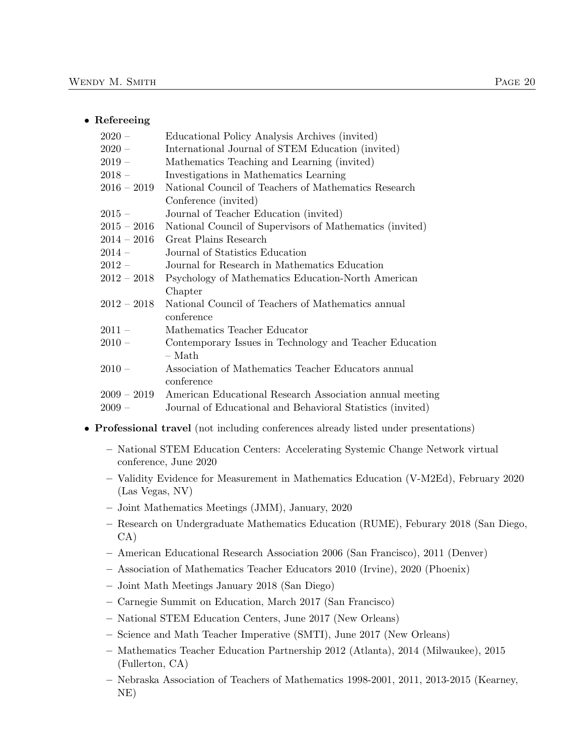#### • Refereeing

| Educational Policy Analysis Archives (invited)                          |
|-------------------------------------------------------------------------|
| International Journal of STEM Education (invited)                       |
| Mathematics Teaching and Learning (invited)                             |
| Investigations in Mathematics Learning                                  |
| National Council of Teachers of Mathematics Research                    |
| Conference (invited)                                                    |
| Journal of Teacher Education (invited)                                  |
| National Council of Supervisors of Mathematics (invited)                |
| Great Plains Research                                                   |
| Journal of Statistics Education                                         |
| Journal for Research in Mathematics Education                           |
| Psychology of Mathematics Education-North American                      |
| Chapter                                                                 |
| National Council of Teachers of Mathematics annual                      |
| conference                                                              |
| Mathematics Teacher Educator                                            |
| Contemporary Issues in Technology and Teacher Education                 |
| $-$ Math                                                                |
| Association of Mathematics Teacher Educators annual                     |
| conference                                                              |
| $2009-2019$<br>American Educational Research Association annual meeting |
| Journal of Educational and Behavioral Statistics (invited)              |
|                                                                         |

- Professional travel (not including conferences already listed under presentations)
	- National STEM Education Centers: Accelerating Systemic Change Network virtual conference, June 2020
	- Validity Evidence for Measurement in Mathematics Education (V-M2Ed), February 2020 (Las Vegas, NV)
	- Joint Mathematics Meetings (JMM), January, 2020
	- Research on Undergraduate Mathematics Education (RUME), Feburary 2018 (San Diego, CA)
	- American Educational Research Association 2006 (San Francisco), 2011 (Denver)
	- Association of Mathematics Teacher Educators 2010 (Irvine), 2020 (Phoenix)
	- Joint Math Meetings January 2018 (San Diego)
	- Carnegie Summit on Education, March 2017 (San Francisco)
	- National STEM Education Centers, June 2017 (New Orleans)
	- Science and Math Teacher Imperative (SMTI), June 2017 (New Orleans)
	- Mathematics Teacher Education Partnership 2012 (Atlanta), 2014 (Milwaukee), 2015 (Fullerton, CA)
	- Nebraska Association of Teachers of Mathematics 1998-2001, 2011, 2013-2015 (Kearney, NE)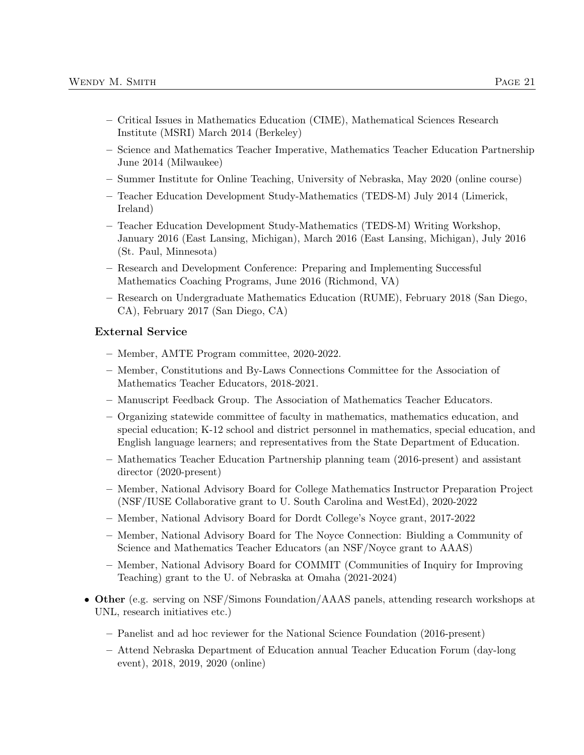- Critical Issues in Mathematics Education (CIME), Mathematical Sciences Research Institute (MSRI) March 2014 (Berkeley)
- Science and Mathematics Teacher Imperative, Mathematics Teacher Education Partnership June 2014 (Milwaukee)
- Summer Institute for Online Teaching, University of Nebraska, May 2020 (online course)
- Teacher Education Development Study-Mathematics (TEDS-M) July 2014 (Limerick, Ireland)
- Teacher Education Development Study-Mathematics (TEDS-M) Writing Workshop, January 2016 (East Lansing, Michigan), March 2016 (East Lansing, Michigan), July 2016 (St. Paul, Minnesota)
- Research and Development Conference: Preparing and Implementing Successful Mathematics Coaching Programs, June 2016 (Richmond, VA)
- Research on Undergraduate Mathematics Education (RUME), February 2018 (San Diego, CA), February 2017 (San Diego, CA)

### External Service

- Member, AMTE Program committee, 2020-2022.
- Member, Constitutions and By-Laws Connections Committee for the Association of Mathematics Teacher Educators, 2018-2021.
- Manuscript Feedback Group. The Association of Mathematics Teacher Educators.
- Organizing statewide committee of faculty in mathematics, mathematics education, and special education; K-12 school and district personnel in mathematics, special education, and English language learners; and representatives from the State Department of Education.
- Mathematics Teacher Education Partnership planning team (2016-present) and assistant director (2020-present)
- Member, National Advisory Board for College Mathematics Instructor Preparation Project (NSF/IUSE Collaborative grant to U. South Carolina and WestEd), 2020-2022
- Member, National Advisory Board for Dordt College's Noyce grant, 2017-2022
- Member, National Advisory Board for The Noyce Connection: Biulding a Community of Science and Mathematics Teacher Educators (an NSF/Noyce grant to AAAS)
- Member, National Advisory Board for COMMIT (Communities of Inquiry for Improving Teaching) grant to the U. of Nebraska at Omaha (2021-2024)
- Other (e.g. serving on NSF/Simons Foundation/AAAS panels, attending research workshops at UNL, research initiatives etc.)
	- Panelist and ad hoc reviewer for the National Science Foundation (2016-present)
	- Attend Nebraska Department of Education annual Teacher Education Forum (day-long event), 2018, 2019, 2020 (online)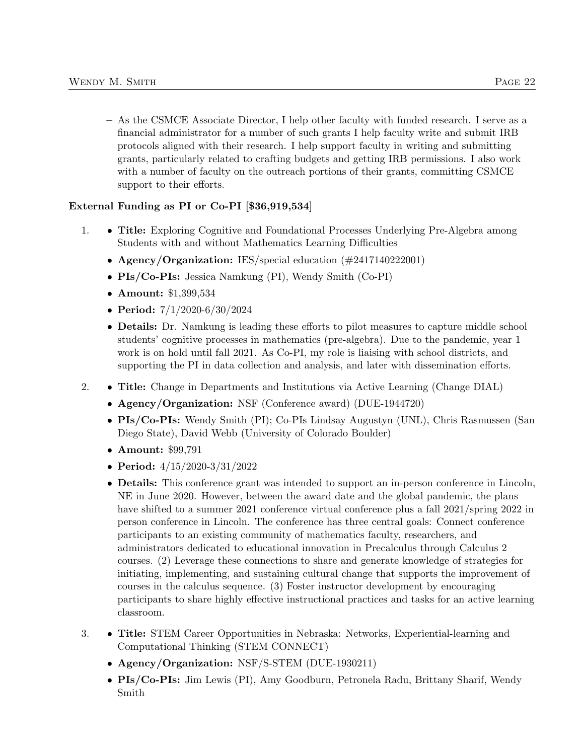– As the CSMCE Associate Director, I help other faculty with funded research. I serve as a financial administrator for a number of such grants I help faculty write and submit IRB protocols aligned with their research. I help support faculty in writing and submitting grants, particularly related to crafting budgets and getting IRB permissions. I also work with a number of faculty on the outreach portions of their grants, committing CSMCE support to their efforts.

### External Funding as PI or Co-PI [\$36,919,534]

- 1. Title: Exploring Cognitive and Foundational Processes Underlying Pre-Algebra among Students with and without Mathematics Learning Difficulties
	- Agency/Organization: IES/special education (#2417140222001)
	- PIs/Co-PIs: Jessica Namkung (PI), Wendy Smith (Co-PI)
	- Amount: \$1,399,534
	- Period: 7/1/2020-6/30/2024
	- **Details:** Dr. Namkung is leading these efforts to pilot measures to capture middle school students' cognitive processes in mathematics (pre-algebra). Due to the pandemic, year 1 work is on hold until fall 2021. As Co-PI, my role is liaising with school districts, and supporting the PI in data collection and analysis, and later with dissemination efforts.
- 2. Title: Change in Departments and Institutions via Active Learning (Change DIAL)
	- Agency/Organization: NSF (Conference award) (DUE-1944720)
	- PIs/Co-PIs: Wendy Smith (PI); Co-PIs Lindsay Augustyn (UNL), Chris Rasmussen (San Diego State), David Webb (University of Colorado Boulder)
	- Amount: \$99,791
	- Period: 4/15/2020-3/31/2022
	- Details: This conference grant was intended to support an in-person conference in Lincoln, NE in June 2020. However, between the award date and the global pandemic, the plans have shifted to a summer 2021 conference virtual conference plus a fall 2021/spring 2022 in person conference in Lincoln. The conference has three central goals: Connect conference participants to an existing community of mathematics faculty, researchers, and administrators dedicated to educational innovation in Precalculus through Calculus 2 courses. (2) Leverage these connections to share and generate knowledge of strategies for initiating, implementing, and sustaining cultural change that supports the improvement of courses in the calculus sequence. (3) Foster instructor development by encouraging participants to share highly effective instructional practices and tasks for an active learning classroom.
- 3. Title: STEM Career Opportunities in Nebraska: Networks, Experiential-learning and Computational Thinking (STEM CONNECT)
	- Agency/Organization: NSF/S-STEM (DUE-1930211)
	- PIs/Co-PIs: Jim Lewis (PI), Amy Goodburn, Petronela Radu, Brittany Sharif, Wendy Smith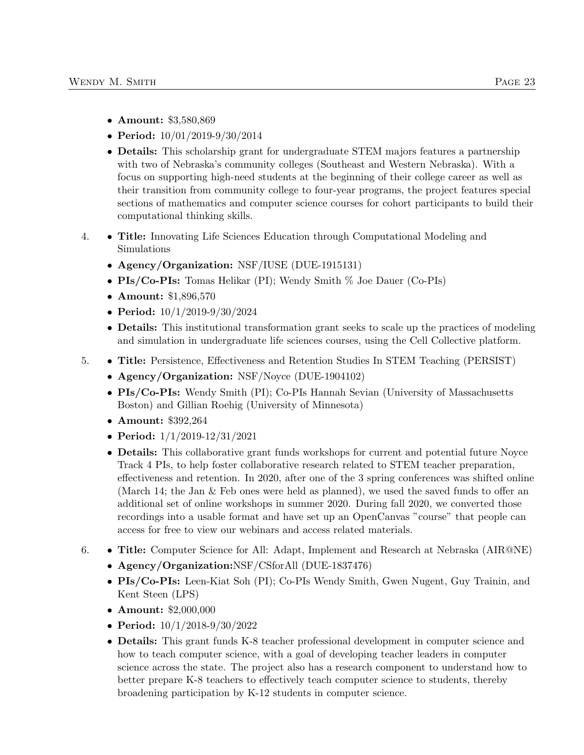- Amount: \$3,580,869
- Period: 10/01/2019-9/30/2014
- Details: This scholarship grant for undergraduate STEM majors features a partnership with two of Nebraska's community colleges (Southeast and Western Nebraska). With a focus on supporting high-need students at the beginning of their college career as well as their transition from community college to four-year programs, the project features special sections of mathematics and computer science courses for cohort participants to build their computational thinking skills.
- 4. Title: Innovating Life Sciences Education through Computational Modeling and Simulations
	- Agency/Organization: NSF/IUSE (DUE-1915131)
	- PIs/Co-PIs: Tomas Helikar (PI); Wendy Smith % Joe Dauer (Co-PIs)
	- Amount: \$1,896,570
	- Period: 10/1/2019-9/30/2024
	- Details: This institutional transformation grant seeks to scale up the practices of modeling and simulation in undergraduate life sciences courses, using the Cell Collective platform.
- 5. Title: Persistence, Effectiveness and Retention Studies In STEM Teaching (PERSIST)
	- Agency/Organization: NSF/Noyce (DUE-1904102)
	- PIs/Co-PIs: Wendy Smith (PI); Co-PIs Hannah Sevian (University of Massachusetts Boston) and Gillian Roehig (University of Minnesota)
	- Amount: \$392,264
	- Period: 1/1/2019-12/31/2021
	- Details: This collaborative grant funds workshops for current and potential future Noyce Track 4 PIs, to help foster collaborative research related to STEM teacher preparation, effectiveness and retention. In 2020, after one of the 3 spring conferences was shifted online (March 14; the Jan & Feb ones were held as planned), we used the saved funds to offer an additional set of online workshops in summer 2020. During fall 2020, we converted those recordings into a usable format and have set up an OpenCanvas "course" that people can access for free to view our webinars and access related materials.
- 6. Title: Computer Science for All: Adapt, Implement and Research at Nebraska (AIR@NE)
	- Agency/Organization:NSF/CSforAll (DUE-1837476)
	- PIs/Co-PIs: Leen-Kiat Soh (PI); Co-PIs Wendy Smith, Gwen Nugent, Guy Trainin, and Kent Steen (LPS)
	- Amount: \$2,000,000
	- Period: 10/1/2018-9/30/2022
	- **Details:** This grant funds K-8 teacher professional development in computer science and how to teach computer science, with a goal of developing teacher leaders in computer science across the state. The project also has a research component to understand how to better prepare K-8 teachers to effectively teach computer science to students, thereby broadening participation by K-12 students in computer science.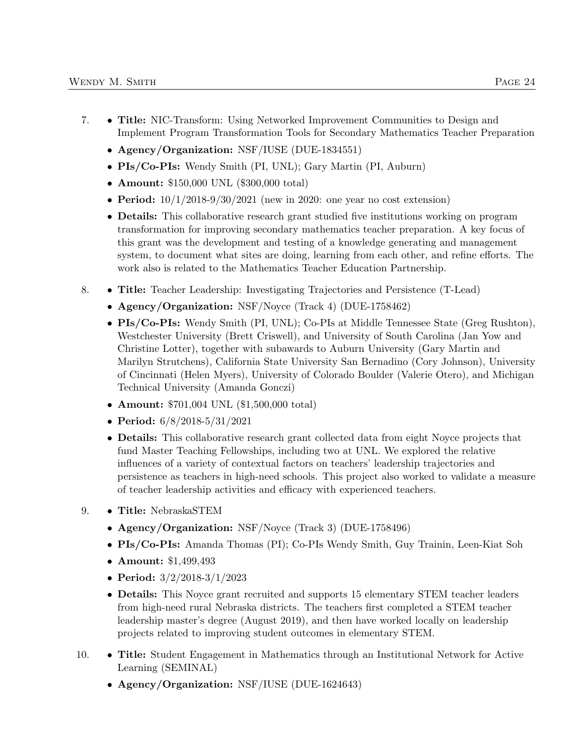- Agency/Organization: NSF/IUSE (DUE-1834551)
- PIs/Co-PIs: Wendy Smith (PI, UNL); Gary Martin (PI, Auburn)
- Amount: \$150,000 UNL (\$300,000 total)
- Period:  $10/1/2018-9/30/2021$  (new in 2020: one year no cost extension)
- Details: This collaborative research grant studied five institutions working on program transformation for improving secondary mathematics teacher preparation. A key focus of this grant was the development and testing of a knowledge generating and management system, to document what sites are doing, learning from each other, and refine efforts. The work also is related to the Mathematics Teacher Education Partnership.
- 8. Title: Teacher Leadership: Investigating Trajectories and Persistence (T-Lead)
	- Agency/Organization: NSF/Noyce (Track 4) (DUE-1758462)
	- PIs/Co-PIs: Wendy Smith (PI, UNL); Co-PIs at Middle Tennessee State (Greg Rushton), Westchester University (Brett Criswell), and University of South Carolina (Jan Yow and Christine Lotter), together with subawards to Auburn University (Gary Martin and Marilyn Strutchens), California State University San Bernadino (Cory Johnson), University of Cincinnati (Helen Myers), University of Colorado Boulder (Valerie Otero), and Michigan Technical University (Amanda Gonczi)
	- Amount: \$701,004 UNL (\$1,500,000 total)
	- Period: 6/8/2018-5/31/2021
	- Details: This collaborative research grant collected data from eight Noyce projects that fund Master Teaching Fellowships, including two at UNL. We explored the relative influences of a variety of contextual factors on teachers' leadership trajectories and persistence as teachers in high-need schools. This project also worked to validate a measure of teacher leadership activities and efficacy with experienced teachers.
- 9. Title: NebraskaSTEM
	- Agency/Organization: NSF/Noyce (Track 3) (DUE-1758496)
	- PIs/Co-PIs: Amanda Thomas (PI); Co-PIs Wendy Smith, Guy Trainin, Leen-Kiat Soh
	- Amount: \$1,499,493
	- Period: 3/2/2018-3/1/2023
	- Details: This Noyce grant recruited and supports 15 elementary STEM teacher leaders from high-need rural Nebraska districts. The teachers first completed a STEM teacher leadership master's degree (August 2019), and then have worked locally on leadership projects related to improving student outcomes in elementary STEM.
- 10. Title: Student Engagement in Mathematics through an Institutional Network for Active Learning (SEMINAL)
	- Agency/Organization: NSF/IUSE (DUE-1624643)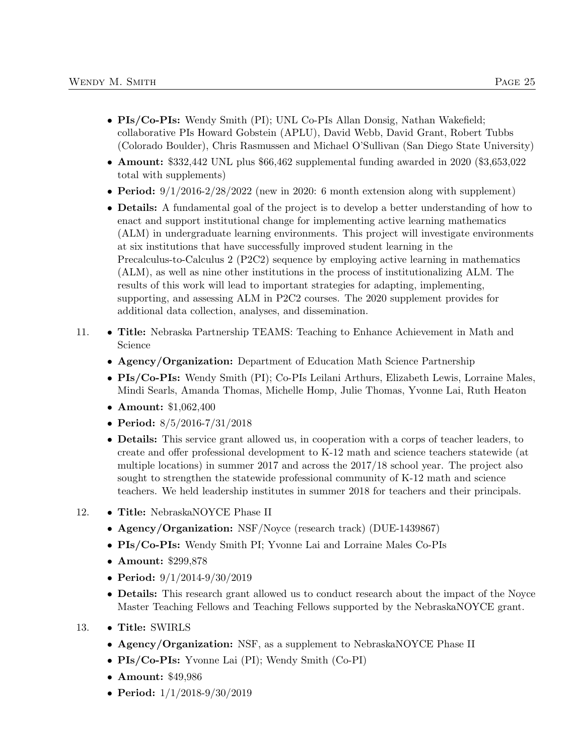- PIs/Co-PIs: Wendy Smith (PI); UNL Co-PIs Allan Donsig, Nathan Wakefield; collaborative PIs Howard Gobstein (APLU), David Webb, David Grant, Robert Tubbs (Colorado Boulder), Chris Rasmussen and Michael O'Sullivan (San Diego State University)
- Amount: \$332,442 UNL plus \$66,462 supplemental funding awarded in 2020 (\$3,653,022 total with supplements)
- Period:  $9/1/2016-2/28/2022$  (new in 2020: 6 month extension along with supplement)
- Details: A fundamental goal of the project is to develop a better understanding of how to enact and support institutional change for implementing active learning mathematics (ALM) in undergraduate learning environments. This project will investigate environments at six institutions that have successfully improved student learning in the Precalculus-to-Calculus 2 (P2C2) sequence by employing active learning in mathematics (ALM), as well as nine other institutions in the process of institutionalizing ALM. The results of this work will lead to important strategies for adapting, implementing, supporting, and assessing ALM in P2C2 courses. The 2020 supplement provides for additional data collection, analyses, and dissemination.
- 11. Title: Nebraska Partnership TEAMS: Teaching to Enhance Achievement in Math and Science
	- Agency/Organization: Department of Education Math Science Partnership
	- PIs/Co-PIs: Wendy Smith (PI); Co-PIs Leilani Arthurs, Elizabeth Lewis, Lorraine Males, Mindi Searls, Amanda Thomas, Michelle Homp, Julie Thomas, Yvonne Lai, Ruth Heaton
	- Amount: \$1,062,400
	- Period: 8/5/2016-7/31/2018
	- Details: This service grant allowed us, in cooperation with a corps of teacher leaders, to create and offer professional development to K-12 math and science teachers statewide (at multiple locations) in summer 2017 and across the 2017/18 school year. The project also sought to strengthen the statewide professional community of K-12 math and science teachers. We held leadership institutes in summer 2018 for teachers and their principals.
- 12. Title: NebraskaNOYCE Phase II
	- Agency/Organization: NSF/Noyce (research track) (DUE-1439867)
	- PIs/Co-PIs: Wendy Smith PI; Yvonne Lai and Lorraine Males Co-PIs
	- Amount: \$299,878
	- Period: 9/1/2014-9/30/2019
	- Details: This research grant allowed us to conduct research about the impact of the Noyce Master Teaching Fellows and Teaching Fellows supported by the NebraskaNOYCE grant.
- 13. Title: SWIRLS
	- Agency/Organization: NSF, as a supplement to NebraskaNOYCE Phase II
	- PIs/Co-PIs: Yvonne Lai (PI); Wendy Smith (Co-PI)
	- Amount: \$49,986
	- Period:  $1/1/2018-9/30/2019$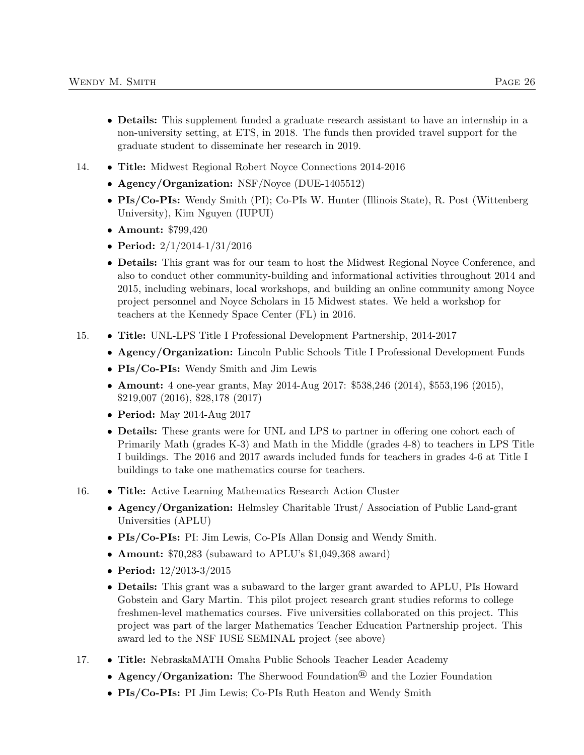- Details: This supplement funded a graduate research assistant to have an internship in a non-university setting, at ETS, in 2018. The funds then provided travel support for the graduate student to disseminate her research in 2019.
- 14. Title: Midwest Regional Robert Noyce Connections 2014-2016
	- Agency/Organization: NSF/Noyce (DUE-1405512)
	- PIs/Co-PIs: Wendy Smith (PI); Co-PIs W. Hunter (Illinois State), R. Post (Wittenberg University), Kim Nguyen (IUPUI)
	- Amount: \$799,420
	- Period: 2/1/2014-1/31/2016
	- Details: This grant was for our team to host the Midwest Regional Noyce Conference, and also to conduct other community-building and informational activities throughout 2014 and 2015, including webinars, local workshops, and building an online community among Noyce project personnel and Noyce Scholars in 15 Midwest states. We held a workshop for teachers at the Kennedy Space Center (FL) in 2016.
- 15. Title: UNL-LPS Title I Professional Development Partnership, 2014-2017
	- Agency/Organization: Lincoln Public Schools Title I Professional Development Funds
	- PIs/Co-PIs: Wendy Smith and Jim Lewis
	- **Amount:** 4 one-year grants, May 2014-Aug 2017: \$538,246 (2014), \$553,196 (2015), \$219,007 (2016), \$28,178 (2017)
	- Period: May 2014-Aug 2017
	- Details: These grants were for UNL and LPS to partner in offering one cohort each of Primarily Math (grades K-3) and Math in the Middle (grades 4-8) to teachers in LPS Title I buildings. The 2016 and 2017 awards included funds for teachers in grades 4-6 at Title I buildings to take one mathematics course for teachers.
- 16. Title: Active Learning Mathematics Research Action Cluster
	- Agency/Organization: Helmsley Charitable Trust/ Association of Public Land-grant Universities (APLU)
	- PIs/Co-PIs: PI: Jim Lewis, Co-PIs Allan Donsig and Wendy Smith.
	- Amount: \$70,283 (subaward to APLU's \$1,049,368 award)
	- Period: 12/2013-3/2015
	- Details: This grant was a subaward to the larger grant awarded to APLU, PIs Howard Gobstein and Gary Martin. This pilot project research grant studies reforms to college freshmen-level mathematics courses. Five universities collaborated on this project. This project was part of the larger Mathematics Teacher Education Partnership project. This award led to the NSF IUSE SEMINAL project (see above)
- 17. Title: NebraskaMATH Omaha Public Schools Teacher Leader Academy
	- Agency/Organization: The Sherwood Foundation<sup>®</sup> and the Lozier Foundation
	- PIs/Co-PIs: PI Jim Lewis; Co-PIs Ruth Heaton and Wendy Smith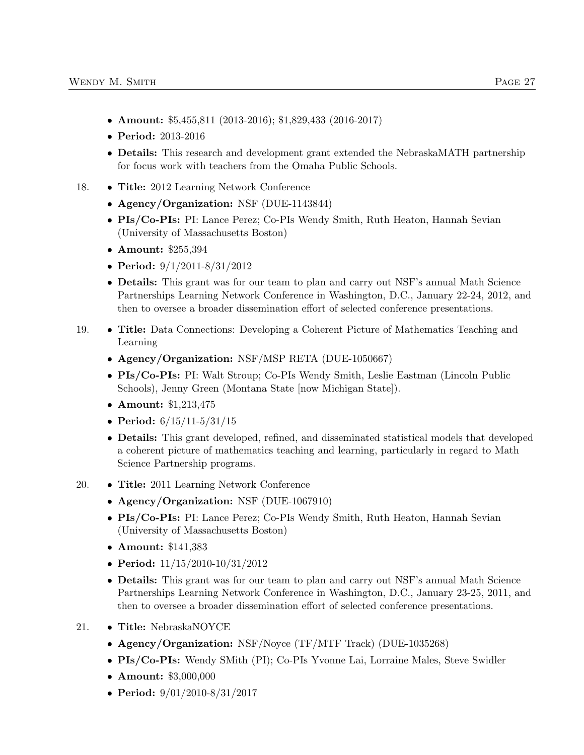- Amount: \$5,455,811 (2013-2016); \$1,829,433 (2016-2017)
- Period: 2013-2016
- Details: This research and development grant extended the NebraskaMATH partnership for focus work with teachers from the Omaha Public Schools.
- 18. Title: 2012 Learning Network Conference
	- Agency/Organization: NSF (DUE-1143844)
	- PIs/Co-PIs: PI: Lance Perez; Co-PIs Wendy Smith, Ruth Heaton, Hannah Sevian (University of Massachusetts Boston)
	- Amount: \$255,394
	- Period: 9/1/2011-8/31/2012
	- Details: This grant was for our team to plan and carry out NSF's annual Math Science Partnerships Learning Network Conference in Washington, D.C., January 22-24, 2012, and then to oversee a broader dissemination effort of selected conference presentations.
- 19. Title: Data Connections: Developing a Coherent Picture of Mathematics Teaching and Learning
	- Agency/Organization: NSF/MSP RETA (DUE-1050667)
	- PIs/Co-PIs: PI: Walt Stroup; Co-PIs Wendy Smith, Leslie Eastman (Lincoln Public Schools), Jenny Green (Montana State [now Michigan State]).
	- Amount: \$1,213,475
	- Period:  $6/15/11-5/31/15$
	- Details: This grant developed, refined, and disseminated statistical models that developed a coherent picture of mathematics teaching and learning, particularly in regard to Math Science Partnership programs.
- 20. Title: 2011 Learning Network Conference
	- Agency/Organization: NSF (DUE-1067910)
	- PIs/Co-PIs: PI: Lance Perez; Co-PIs Wendy Smith, Ruth Heaton, Hannah Sevian (University of Massachusetts Boston)
	- Amount: \$141,383
	- Period:  $11/15/2010-10/31/2012$
	- Details: This grant was for our team to plan and carry out NSF's annual Math Science Partnerships Learning Network Conference in Washington, D.C., January 23-25, 2011, and then to oversee a broader dissemination effort of selected conference presentations.
- 21. Title: NebraskaNOYCE
	- Agency/Organization: NSF/Noyce (TF/MTF Track) (DUE-1035268)
	- PIs/Co-PIs: Wendy SMith (PI); Co-PIs Yvonne Lai, Lorraine Males, Steve Swidler
	- Amount: \$3,000,000
	- Period: 9/01/2010-8/31/2017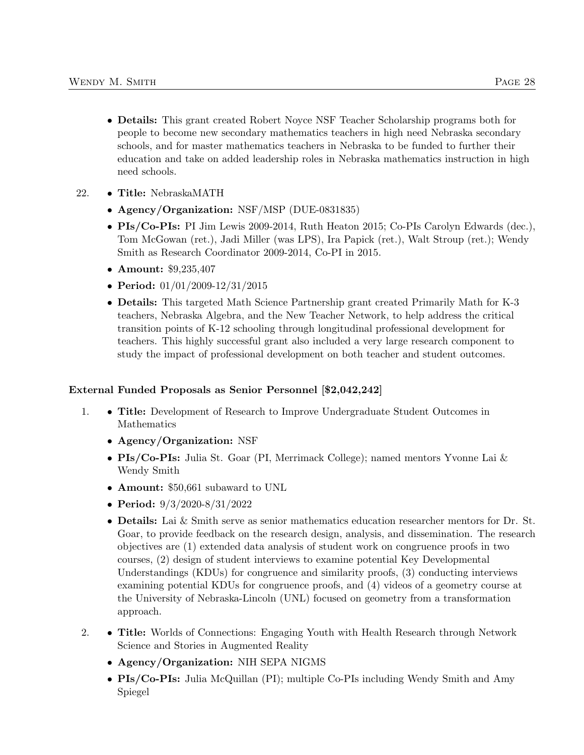- Details: This grant created Robert Noyce NSF Teacher Scholarship programs both for people to become new secondary mathematics teachers in high need Nebraska secondary schools, and for master mathematics teachers in Nebraska to be funded to further their education and take on added leadership roles in Nebraska mathematics instruction in high need schools.
- 22. Title: NebraskaMATH
	- Agency/Organization: NSF/MSP (DUE-0831835)
	- PIs/Co-PIs: PI Jim Lewis 2009-2014, Ruth Heaton 2015; Co-PIs Carolyn Edwards (dec.), Tom McGowan (ret.), Jadi Miller (was LPS), Ira Papick (ret.), Walt Stroup (ret.); Wendy Smith as Research Coordinator 2009-2014, Co-PI in 2015.
	- Amount: \$9,235,407
	- Period: 01/01/2009-12/31/2015
	- Details: This targeted Math Science Partnership grant created Primarily Math for K-3 teachers, Nebraska Algebra, and the New Teacher Network, to help address the critical transition points of K-12 schooling through longitudinal professional development for teachers. This highly successful grant also included a very large research component to study the impact of professional development on both teacher and student outcomes.

### External Funded Proposals as Senior Personnel [\$2,042,242]

- 1. Title: Development of Research to Improve Undergraduate Student Outcomes in Mathematics
	- Agency/Organization: NSF
	- PIs/Co-PIs: Julia St. Goar (PI, Merrimack College); named mentors Yvonne Lai & Wendy Smith
	- Amount: \$50,661 subaward to UNL
	- Period: 9/3/2020-8/31/2022
	- Details: Lai & Smith serve as senior mathematics education researcher mentors for Dr. St. Goar, to provide feedback on the research design, analysis, and dissemination. The research objectives are (1) extended data analysis of student work on congruence proofs in two courses, (2) design of student interviews to examine potential Key Developmental Understandings (KDUs) for congruence and similarity proofs, (3) conducting interviews examining potential KDUs for congruence proofs, and (4) videos of a geometry course at the University of Nebraska-Lincoln (UNL) focused on geometry from a transformation approach.
- 2. Title: Worlds of Connections: Engaging Youth with Health Research through Network Science and Stories in Augmented Reality
	- Agency/Organization: NIH SEPA NIGMS
	- PIs/Co-PIs: Julia McQuillan (PI); multiple Co-PIs including Wendy Smith and Amy Spiegel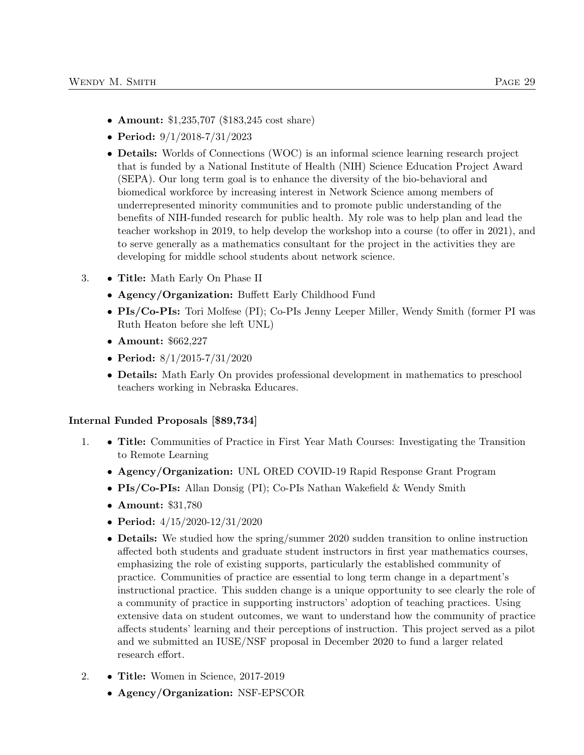- **Amount:** \$1,235,707 (\$183,245 cost share)
- Period: 9/1/2018-7/31/2023
- Details: Worlds of Connections (WOC) is an informal science learning research project that is funded by a National Institute of Health (NIH) Science Education Project Award (SEPA). Our long term goal is to enhance the diversity of the bio-behavioral and biomedical workforce by increasing interest in Network Science among members of underrepresented minority communities and to promote public understanding of the benefits of NIH-funded research for public health. My role was to help plan and lead the teacher workshop in 2019, to help develop the workshop into a course (to offer in 2021), and to serve generally as a mathematics consultant for the project in the activities they are developing for middle school students about network science.
- 3. Title: Math Early On Phase II
	- Agency/Organization: Buffett Early Childhood Fund
	- PIs/Co-PIs: Tori Molfese (PI); Co-PIs Jenny Leeper Miller, Wendy Smith (former PI was Ruth Heaton before she left UNL)
	- Amount: \$662,227
	- Period: 8/1/2015-7/31/2020
	- Details: Math Early On provides professional development in mathematics to preschool teachers working in Nebraska Educares.

### Internal Funded Proposals [\$89,734]

- 1. Title: Communities of Practice in First Year Math Courses: Investigating the Transition to Remote Learning
	- Agency/Organization: UNL ORED COVID-19 Rapid Response Grant Program
	- PIs/Co-PIs: Allan Donsig (PI); Co-PIs Nathan Wakefield & Wendy Smith
	- Amount: \$31,780
	- Period:  $4/15/2020 12/31/2020$
	- **Details:** We studied how the spring/summer 2020 sudden transition to online instruction affected both students and graduate student instructors in first year mathematics courses, emphasizing the role of existing supports, particularly the established community of practice. Communities of practice are essential to long term change in a department's instructional practice. This sudden change is a unique opportunity to see clearly the role of a community of practice in supporting instructors' adoption of teaching practices. Using extensive data on student outcomes, we want to understand how the community of practice affects students' learning and their perceptions of instruction. This project served as a pilot and we submitted an IUSE/NSF proposal in December 2020 to fund a larger related research effort.
- 2. Title: Women in Science, 2017-2019
	- Agency/Organization: NSF-EPSCOR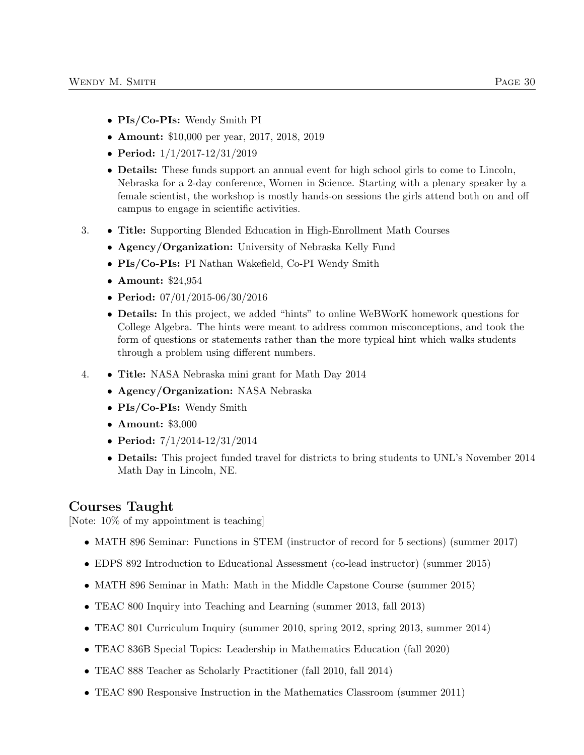- PIs/Co-PIs: Wendy Smith PI
- Amount: \$10,000 per year, 2017, 2018, 2019
- Period: 1/1/2017-12/31/2019
- **Details:** These funds support an annual event for high school girls to come to Lincoln, Nebraska for a 2-day conference, Women in Science. Starting with a plenary speaker by a female scientist, the workshop is mostly hands-on sessions the girls attend both on and off campus to engage in scientific activities.
- 3. Title: Supporting Blended Education in High-Enrollment Math Courses
	- Agency/Organization: University of Nebraska Kelly Fund
	- PIs/Co-PIs: PI Nathan Wakefield, Co-PI Wendy Smith
	- Amount: \$24,954
	- Period: 07/01/2015-06/30/2016
	- Details: In this project, we added "hints" to online WeBWorK homework questions for College Algebra. The hints were meant to address common misconceptions, and took the form of questions or statements rather than the more typical hint which walks students through a problem using different numbers.
- 4. Title: NASA Nebraska mini grant for Math Day 2014
	- Agency/Organization: NASA Nebraska
	- PIs/Co-PIs: Wendy Smith
	- Amount: \$3,000
	- Period: 7/1/2014-12/31/2014
	- Details: This project funded travel for districts to bring students to UNL's November 2014 Math Day in Lincoln, NE.

# Courses Taught

[Note: 10% of my appointment is teaching]

- MATH 896 Seminar: Functions in STEM (instructor of record for 5 sections) (summer 2017)
- EDPS 892 Introduction to Educational Assessment (co-lead instructor) (summer 2015)
- MATH 896 Seminar in Math: Math in the Middle Capstone Course (summer 2015)
- TEAC 800 Inquiry into Teaching and Learning (summer 2013, fall 2013)
- TEAC 801 Curriculum Inquiry (summer 2010, spring 2012, spring 2013, summer 2014)
- TEAC 836B Special Topics: Leadership in Mathematics Education (fall 2020)
- TEAC 888 Teacher as Scholarly Practitioner (fall 2010, fall 2014)
- TEAC 890 Responsive Instruction in the Mathematics Classroom (summer 2011)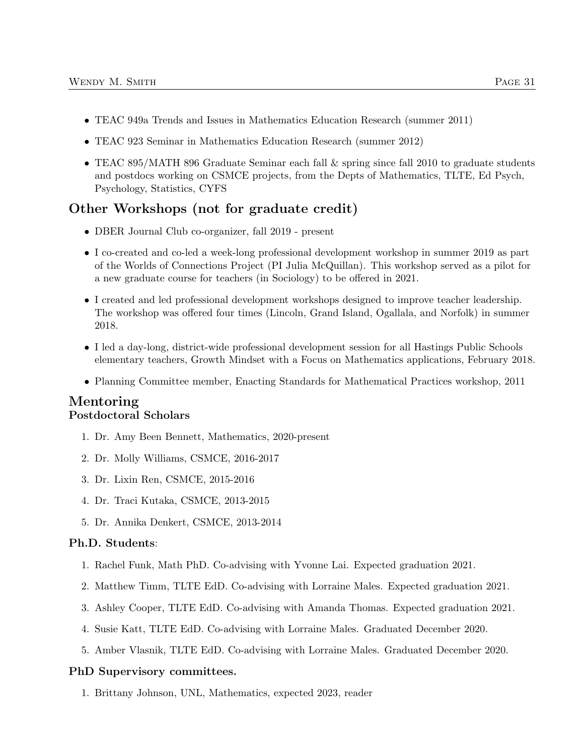- TEAC 949a Trends and Issues in Mathematics Education Research (summer 2011)
- TEAC 923 Seminar in Mathematics Education Research (summer 2012)
- TEAC 895/MATH 896 Graduate Seminar each fall & spring since fall 2010 to graduate students and postdocs working on CSMCE projects, from the Depts of Mathematics, TLTE, Ed Psych, Psychology, Statistics, CYFS

# Other Workshops (not for graduate credit)

- DBER Journal Club co-organizer, fall 2019 present
- I co-created and co-led a week-long professional development workshop in summer 2019 as part of the Worlds of Connections Project (PI Julia McQuillan). This workshop served as a pilot for a new graduate course for teachers (in Sociology) to be offered in 2021.
- I created and led professional development workshops designed to improve teacher leadership. The workshop was offered four times (Lincoln, Grand Island, Ogallala, and Norfolk) in summer 2018.
- I led a day-long, district-wide professional development session for all Hastings Public Schools elementary teachers, Growth Mindset with a Focus on Mathematics applications, February 2018.
- Planning Committee member, Enacting Standards for Mathematical Practices workshop, 2011

### Mentoring Postdoctoral Scholars

- 1. Dr. Amy Been Bennett, Mathematics, 2020-present
- 2. Dr. Molly Williams, CSMCE, 2016-2017
- 3. Dr. Lixin Ren, CSMCE, 2015-2016
- 4. Dr. Traci Kutaka, CSMCE, 2013-2015
- 5. Dr. Annika Denkert, CSMCE, 2013-2014

### Ph.D. Students:

- 1. Rachel Funk, Math PhD. Co-advising with Yvonne Lai. Expected graduation 2021.
- 2. Matthew Timm, TLTE EdD. Co-advising with Lorraine Males. Expected graduation 2021.
- 3. Ashley Cooper, TLTE EdD. Co-advising with Amanda Thomas. Expected graduation 2021.
- 4. Susie Katt, TLTE EdD. Co-advising with Lorraine Males. Graduated December 2020.
- 5. Amber Vlasnik, TLTE EdD. Co-advising with Lorraine Males. Graduated December 2020.

#### PhD Supervisory committees.

1. Brittany Johnson, UNL, Mathematics, expected 2023, reader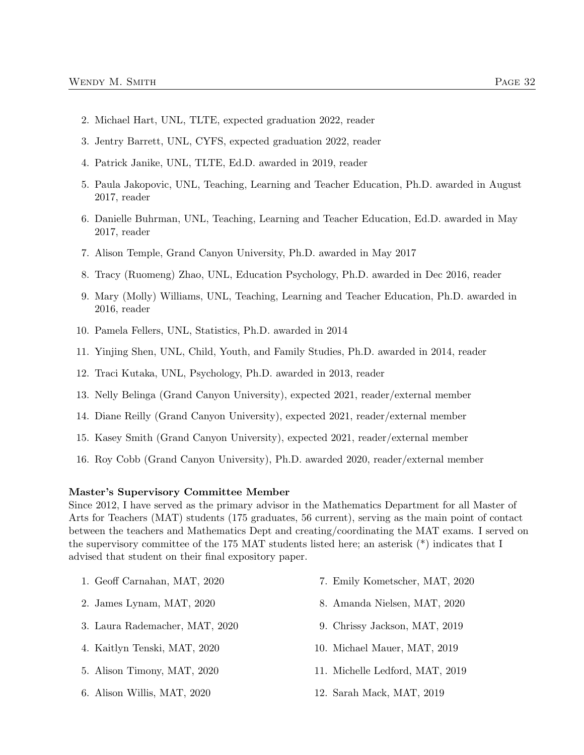- 2. Michael Hart, UNL, TLTE, expected graduation 2022, reader
- 3. Jentry Barrett, UNL, CYFS, expected graduation 2022, reader
- 4. Patrick Janike, UNL, TLTE, Ed.D. awarded in 2019, reader
- 5. Paula Jakopovic, UNL, Teaching, Learning and Teacher Education, Ph.D. awarded in August 2017, reader
- 6. Danielle Buhrman, UNL, Teaching, Learning and Teacher Education, Ed.D. awarded in May 2017, reader
- 7. Alison Temple, Grand Canyon University, Ph.D. awarded in May 2017
- 8. Tracy (Ruomeng) Zhao, UNL, Education Psychology, Ph.D. awarded in Dec 2016, reader
- 9. Mary (Molly) Williams, UNL, Teaching, Learning and Teacher Education, Ph.D. awarded in 2016, reader
- 10. Pamela Fellers, UNL, Statistics, Ph.D. awarded in 2014
- 11. Yinjing Shen, UNL, Child, Youth, and Family Studies, Ph.D. awarded in 2014, reader
- 12. Traci Kutaka, UNL, Psychology, Ph.D. awarded in 2013, reader
- 13. Nelly Belinga (Grand Canyon University), expected 2021, reader/external member
- 14. Diane Reilly (Grand Canyon University), expected 2021, reader/external member
- 15. Kasey Smith (Grand Canyon University), expected 2021, reader/external member
- 16. Roy Cobb (Grand Canyon University), Ph.D. awarded 2020, reader/external member

#### Master's Supervisory Committee Member

Since 2012, I have served as the primary advisor in the Mathematics Department for all Master of Arts for Teachers (MAT) students (175 graduates, 56 current), serving as the main point of contact between the teachers and Mathematics Dept and creating/coordinating the MAT exams. I served on the supervisory committee of the 175 MAT students listed here; an asterisk (\*) indicates that I advised that student on their final expository paper.

- 1. Geoff Carnahan, MAT, 2020
- 2. James Lynam, MAT, 2020
- 3. Laura Rademacher, MAT, 2020
- 4. Kaitlyn Tenski, MAT, 2020
- 5. Alison Timony, MAT, 2020
- 6. Alison Willis, MAT, 2020
- 7. Emily Kometscher, MAT, 2020
- 8. Amanda Nielsen, MAT, 2020
- 9. Chrissy Jackson, MAT, 2019
- 10. Michael Mauer, MAT, 2019
- 11. Michelle Ledford, MAT, 2019
- 12. Sarah Mack, MAT, 2019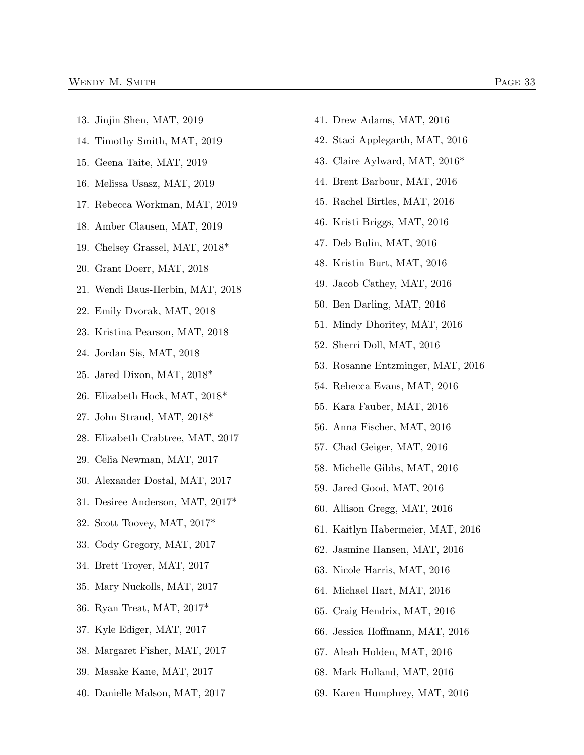- 13. Jinjin Shen, MAT, 2019
- 14. Timothy Smith, MAT, 2019
- 15. Geena Taite, MAT, 2019
- 16. Melissa Usasz, MAT, 2019
- 17. Rebecca Workman, MAT, 2019
- 18. Amber Clausen, MAT, 2019
- 19. Chelsey Grassel, MAT, 2018\*
- 20. Grant Doerr, MAT, 2018
- 21. Wendi Baus-Herbin, MAT, 2018
- 22. Emily Dvorak, MAT, 2018
- 23. Kristina Pearson, MAT, 2018
- 24. Jordan Sis, MAT, 2018
- 25. Jared Dixon, MAT, 2018\*
- 26. Elizabeth Hock, MAT, 2018\*
- 27. John Strand, MAT, 2018\*
- 28. Elizabeth Crabtree, MAT, 2017
- 29. Celia Newman, MAT, 2017
- 30. Alexander Dostal, MAT, 2017
- 31. Desiree Anderson, MAT, 2017\*
- 32. Scott Toovey, MAT, 2017\*
- 33. Cody Gregory, MAT, 2017
- 34. Brett Troyer, MAT, 2017
- 35. Mary Nuckolls, MAT, 2017
- 36. Ryan Treat, MAT, 2017\*
- 37. Kyle Ediger, MAT, 2017
- 38. Margaret Fisher, MAT, 2017
- 39. Masake Kane, MAT, 2017
- 40. Danielle Malson, MAT, 2017
- 41. Drew Adams, MAT, 2016
- 42. Staci Applegarth, MAT, 2016
- 43. Claire Aylward, MAT, 2016\*
- 44. Brent Barbour, MAT, 2016
- 45. Rachel Birtles, MAT, 2016
- 46. Kristi Briggs, MAT, 2016
- 47. Deb Bulin, MAT, 2016
- 48. Kristin Burt, MAT, 2016
- 49. Jacob Cathey, MAT, 2016
- 50. Ben Darling, MAT, 2016
- 51. Mindy Dhoritey, MAT, 2016
- 52. Sherri Doll, MAT, 2016
- 53. Rosanne Entzminger, MAT, 2016
- 54. Rebecca Evans, MAT, 2016
- 55. Kara Fauber, MAT, 2016
- 56. Anna Fischer, MAT, 2016
- 57. Chad Geiger, MAT, 2016
- 58. Michelle Gibbs, MAT, 2016
- 59. Jared Good, MAT, 2016
- 60. Allison Gregg, MAT, 2016
- 61. Kaitlyn Habermeier, MAT, 2016
- 62. Jasmine Hansen, MAT, 2016
- 63. Nicole Harris, MAT, 2016
- 64. Michael Hart, MAT, 2016
- 65. Craig Hendrix, MAT, 2016
- 66. Jessica Hoffmann, MAT, 2016
- 67. Aleah Holden, MAT, 2016
- 68. Mark Holland, MAT, 2016
- 69. Karen Humphrey, MAT, 2016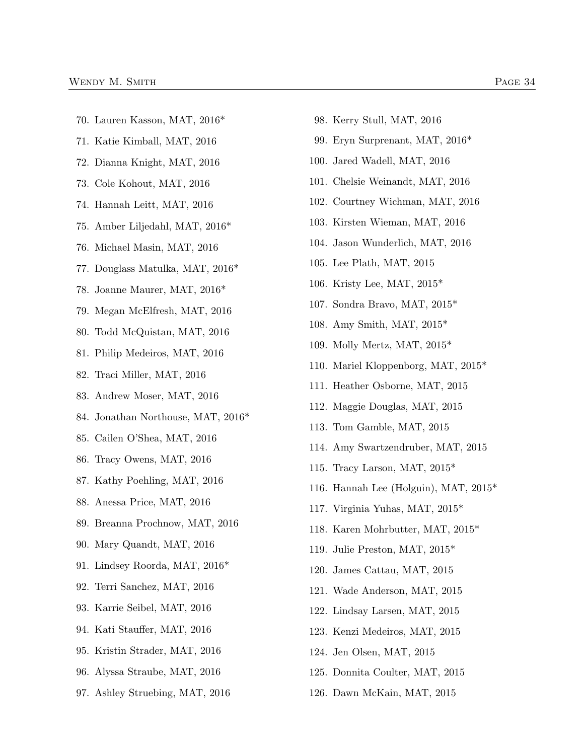- 70. Lauren Kasson, MAT, 2016\*
- 71. Katie Kimball, MAT, 2016
- 72. Dianna Knight, MAT, 2016
- 73. Cole Kohout, MAT, 2016
- 74. Hannah Leitt, MAT, 2016
- 75. Amber Liljedahl, MAT, 2016\*
- 76. Michael Masin, MAT, 2016
- 77. Douglass Matulka, MAT, 2016\*
- 78. Joanne Maurer, MAT, 2016\*
- 79. Megan McElfresh, MAT, 2016
- 80. Todd McQuistan, MAT, 2016
- 81. Philip Medeiros, MAT, 2016
- 82. Traci Miller, MAT, 2016
- 83. Andrew Moser, MAT, 2016
- 84. Jonathan Northouse, MAT, 2016\*
- 85. Cailen O'Shea, MAT, 2016
- 86. Tracy Owens, MAT, 2016
- 87. Kathy Poehling, MAT, 2016
- 88. Anessa Price, MAT, 2016
- 89. Breanna Prochnow, MAT, 2016
- 90. Mary Quandt, MAT, 2016
- 91. Lindsey Roorda, MAT, 2016\*
- 92. Terri Sanchez, MAT, 2016
- 93. Karrie Seibel, MAT, 2016
- 94. Kati Stauffer, MAT, 2016
- 95. Kristin Strader, MAT, 2016
- 96. Alyssa Straube, MAT, 2016
- 97. Ashley Struebing, MAT, 2016
- 98. Kerry Stull, MAT, 2016
- 99. Eryn Surprenant, MAT, 2016\*
- 100. Jared Wadell, MAT, 2016
- 101. Chelsie Weinandt, MAT, 2016
- 102. Courtney Wichman, MAT, 2016
- 103. Kirsten Wieman, MAT, 2016
- 104. Jason Wunderlich, MAT, 2016
- 105. Lee Plath, MAT, 2015
- 106. Kristy Lee, MAT, 2015\*
- 107. Sondra Bravo, MAT, 2015\*
- 108. Amy Smith, MAT, 2015\*
- 109. Molly Mertz, MAT, 2015\*
- 110. Mariel Kloppenborg, MAT, 2015\*
- 111. Heather Osborne, MAT, 2015
- 112. Maggie Douglas, MAT, 2015
- 113. Tom Gamble, MAT, 2015
- 114. Amy Swartzendruber, MAT, 2015
- 115. Tracy Larson, MAT, 2015\*
- 116. Hannah Lee (Holguin), MAT, 2015\*
- 117. Virginia Yuhas, MAT, 2015\*
- 118. Karen Mohrbutter, MAT, 2015\*
- 119. Julie Preston, MAT, 2015\*
- 120. James Cattau, MAT, 2015
- 121. Wade Anderson, MAT, 2015
- 122. Lindsay Larsen, MAT, 2015
- 123. Kenzi Medeiros, MAT, 2015
- 124. Jen Olsen, MAT, 2015
- 125. Donnita Coulter, MAT, 2015
- 126. Dawn McKain, MAT, 2015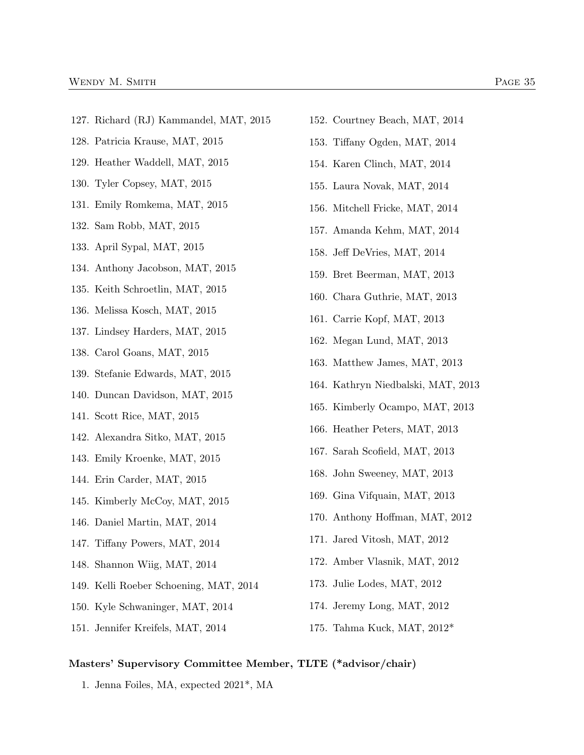- 127. Richard (RJ) Kammandel, MAT, 2015
- 128. Patricia Krause, MAT, 2015
- 129. Heather Waddell, MAT, 2015
- 130. Tyler Copsey, MAT, 2015
- 131. Emily Romkema, MAT, 2015
- 132. Sam Robb, MAT, 2015
- 133. April Sypal, MAT, 2015
- 134. Anthony Jacobson, MAT, 2015
- 135. Keith Schroetlin, MAT, 2015
- 136. Melissa Kosch, MAT, 2015
- 137. Lindsey Harders, MAT, 2015
- 138. Carol Goans, MAT, 2015
- 139. Stefanie Edwards, MAT, 2015
- 140. Duncan Davidson, MAT, 2015
- 141. Scott Rice, MAT, 2015
- 142. Alexandra Sitko, MAT, 2015
- 143. Emily Kroenke, MAT, 2015
- 144. Erin Carder, MAT, 2015
- 145. Kimberly McCoy, MAT, 2015
- 146. Daniel Martin, MAT, 2014
- 147. Tiffany Powers, MAT, 2014
- 148. Shannon Wiig, MAT, 2014
- 149. Kelli Roeber Schoening, MAT, 2014
- 150. Kyle Schwaninger, MAT, 2014
- 151. Jennifer Kreifels, MAT, 2014
- 152. Courtney Beach, MAT, 2014
- 153. Tiffany Ogden, MAT, 2014
- 154. Karen Clinch, MAT, 2014
- 155. Laura Novak, MAT, 2014
- 156. Mitchell Fricke, MAT, 2014
- 157. Amanda Kehm, MAT, 2014
- 158. Jeff DeVries, MAT, 2014
- 159. Bret Beerman, MAT, 2013
- 160. Chara Guthrie, MAT, 2013
- 161. Carrie Kopf, MAT, 2013
- 162. Megan Lund, MAT, 2013
- 163. Matthew James, MAT, 2013
- 164. Kathryn Niedbalski, MAT, 2013
- 165. Kimberly Ocampo, MAT, 2013
- 166. Heather Peters, MAT, 2013
- 167. Sarah Scofield, MAT, 2013
- 168. John Sweeney, MAT, 2013
- 169. Gina Vifquain, MAT, 2013
- 170. Anthony Hoffman, MAT, 2012
- 171. Jared Vitosh, MAT, 2012
- 172. Amber Vlasnik, MAT, 2012
- 173. Julie Lodes, MAT, 2012
- 174. Jeremy Long, MAT, 2012
- 175. Tahma Kuck, MAT, 2012\*

#### Masters' Supervisory Committee Member, TLTE (\*advisor/chair)

1. Jenna Foiles, MA, expected 2021\*, MA